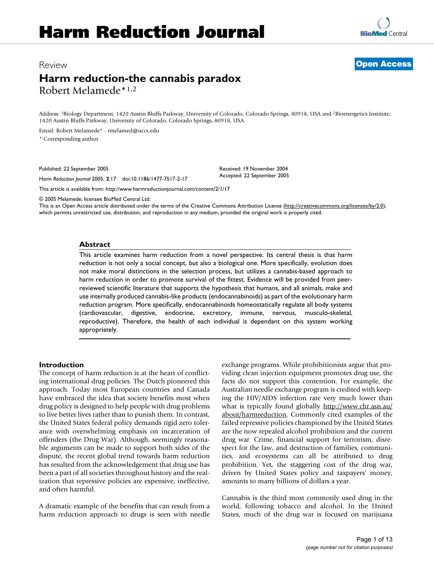# Review **[Open Access](http://www.biomedcentral.com/info/about/charter/) Harm reduction-the cannabis paradox** Robert Melamede\*1,2

Address: 1Biology Department, 1420 Austin Bluffs Parkway, University of Colorado, Colorado Springs, 80918, USA and 2Bioenergetics Institute, 1420 Austin Bluffs Parkway, University of Colorado, Colorado Springs, 80918, USA

Email: Robert Melamede\* - rmelamed@uccs.edu

\* Corresponding author

Published: 22 September 2005

*Harm Reduction Journal* 2005, **2**:17 doi:10.1186/1477-7517-2-17

[This article is available from: http://www.harmreductionjournal.com/content/2/1/17](http://www.harmreductionjournal.com/content/2/1/17)

© 2005 Melamede; licensee BioMed Central Ltd.

This is an Open Access article distributed under the terms of the Creative Commons Attribution License [\(http://creativecommons.org/licenses/by/2.0\)](http://creativecommons.org/licenses/by/2.0), which permits unrestricted use, distribution, and reproduction in any medium, provided the original work is properly cited.

Received: 19 November 2004 Accepted: 22 September 2005

#### **Abstract**

This article examines harm reduction from a novel perspective. Its central thesis is that harm reduction is not only a social concept, but also a biological one. More specifically, evolution does not make moral distinctions in the selection process, but utilizes a cannabis-based approach to harm reduction in order to promote survival of the fittest. Evidence will be provided from peerreviewed scientific literature that supports the hypothesis that humans, and all animals, make and use internally produced cannabis-like products (endocannabinoids) as part of the evolutionary harm reduction program. More specifically, endocannabinoids homeostatically regulate all body systems (cardiovascular, digestive, endocrine, excretory, immune, nervous, musculo-skeletal, reproductive). Therefore, the health of each individual is dependant on this system working appropriately.

#### **Introduction**

The concept of harm reduction is at the heart of conflicting international drug policies. The Dutch pioneered this approach. Today most European countries and Canada have embraced the idea that society benefits most when drug policy is designed to help people with drug problems to live better lives rather than to punish them. In contrast, the United States federal policy demands rigid zero tolerance with overwhelming emphasis on incarceration of offenders (the Drug War). Although, seemingly reasonable arguments can be made to support both sides of the dispute, the recent global trend towards harm reduction has resulted from the acknowledgement that drug use has been a part of all societies throughout history and the realization that repressive policies are expensive, ineffective, and often harmful.

A dramatic example of the benefits that can result from a harm reduction approach to drugs is seen with needle exchange programs. While prohibitionists argue that providing clean injection equipment promotes drug use, the facts do not support this contention. For example, the Australian needle exchange program is credited with keeping the HIV/AIDS infection rate very much lower than what is typically found globally [http://www.chr.asn.au/](http://www.chr.asn.au/about/harmreduction) [about/harmreduction](http://www.chr.asn.au/about/harmreduction). Commonly cited examples of the failed repressive policies championed by the United States are the now repealed alcohol prohibition and the current drug war. Crime, financial support for terrorism, disrespect for the law, and destruction of families, communities, and ecosystems can all be attributed to drug prohibition. Yet, the staggering cost of the drug war, driven by United States policy and taxpayers' money, amounts to many billions of dollars a year.

Cannabis is the third most commonly used drug in the world, following tobacco and alcohol. In the United States, much of the drug war is focused on marijuana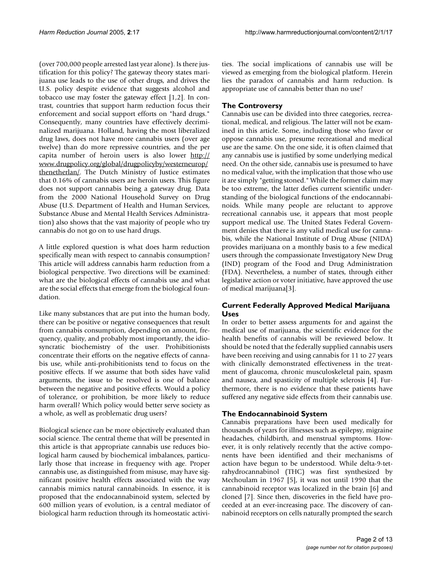(over 700,000 people arrested last year alone). Is there justification for this policy? The gateway theory states marijuana use leads to the use of other drugs, and drives the U.S. policy despite evidence that suggests alcohol and tobacco use may foster the gateway effect [1,2]. In contrast, countries that support harm reduction focus their enforcement and social support efforts on "hard drugs." Consequently, many countries have effectively decriminalized marijuana. Holland, having the most liberalized drug laws, does not have more cannabis users (over age twelve) than do more repressive countries, and the per capita number of heroin users is also lower [http://](http://www.drugpolicy.org/global/drugpolicyby/westerneurop/thenetherlan/) [www.drugpolicy.org/global/drugpolicyby/westerneurop/](http://www.drugpolicy.org/global/drugpolicyby/westerneurop/thenetherlan/) [thenetherlan/](http://www.drugpolicy.org/global/drugpolicyby/westerneurop/thenetherlan/). The Dutch Ministry of Justice estimates that 0.16% of cannabis users are heroin users. This figure does not support cannabis being a gateway drug. Data from the 2000 National Household Survey on Drug Abuse (U.S. Department of Health and Human Services, Substance Abuse and Mental Health Services Administration) also shows that the vast majority of people who try cannabis do not go on to use hard drugs.

A little explored question is what does harm reduction specifically mean with respect to cannabis consumption? This article will address cannabis harm reduction from a biological perspective. Two directions will be examined: what are the biological effects of cannabis use and what are the social effects that emerge from the biological foundation.

Like many substances that are put into the human body, there can be positive or negative consequences that result from cannabis consumption, depending on amount, frequency, quality, and probably most importantly, the idiosyncratic biochemistry of the user. Prohibitionists concentrate their efforts on the negative effects of cannabis use, while anti-prohibitionists tend to focus on the positive effects. If we assume that both sides have valid arguments, the issue to be resolved is one of balance between the negative and positive effects. Would a policy of tolerance, or prohibition, be more likely to reduce harm overall? Which policy would better serve society as a whole, as well as problematic drug users?

Biological science can be more objectively evaluated than social science. The central theme that will be presented in this article is that appropriate cannabis use reduces biological harm caused by biochemical imbalances, particularly those that increase in frequency with age. Proper cannabis use, as distinguished from misuse, may have significant positive health effects associated with the way cannabis mimics natural cannabinoids. In essence, it is proposed that the endocannabinoid system, selected by 600 million years of evolution, is a central mediator of biological harm reduction through its homeostatic activities. The social implications of cannabis use will be viewed as emerging from the biological platform. Herein lies the paradox of cannabis and harm reduction. Is appropriate use of cannabis better than no use?

#### **The Controversy**

Cannabis use can be divided into three categories, recreational, medical, and religious. The latter will not be examined in this article. Some, including those who favor or oppose cannabis use, presume recreational and medical use are the same. On the one side, it is often claimed that any cannabis use is justified by some underlying medical need. On the other side, cannabis use is presumed to have no medical value, with the implication that those who use it are simply "getting stoned." While the former claim may be too extreme, the latter defies current scientific understanding of the biological functions of the endocannabinoids. While many people are reluctant to approve recreational cannabis use, it appears that most people support medical use. The United States Federal Government denies that there is any valid medical use for cannabis, while the National Institute of Drug Abuse (NIDA) provides marijuana on a monthly basis to a few medical users through the compassionate Investigatory New Drug (IND) program of the Food and Drug Administration (FDA). Nevertheless, a number of states, through either legislative action or voter initiative, have approved the use of medical marijuana[3].

#### **Current Federally Approved Medical Marijuana Uses**

In order to better assess arguments for and against the medical use of marijuana, the scientific evidence for the health benefits of cannabis will be reviewed below. It should be noted that the federally supplied cannabis users have been receiving and using cannabis for 11 to 27 years with clinically demonstrated effectiveness in the treatment of glaucoma, chronic musculoskeletal pain, spasm and nausea, and spasticity of multiple sclerosis [4]. Furthermore, there is no evidence that these patients have suffered any negative side effects from their cannabis use.

#### **The Endocannabinoid System**

Cannabis preparations have been used medically for thousands of years for illnesses such as epilepsy, migraine headaches, childbirth, and menstrual symptoms. However, it is only relatively recently that the active components have been identified and their mechanisms of action have begun to be understood. While delta-9-tetrahydrocannabinol (THC) was first synthesized by Mechoulam in 1967 [5], it was not until 1990 that the cannabinoid receptor was localized in the brain [6] and cloned [7]. Since then, discoveries in the field have proceeded at an ever-increasing pace. The discovery of cannabinoid receptors on cells naturally prompted the search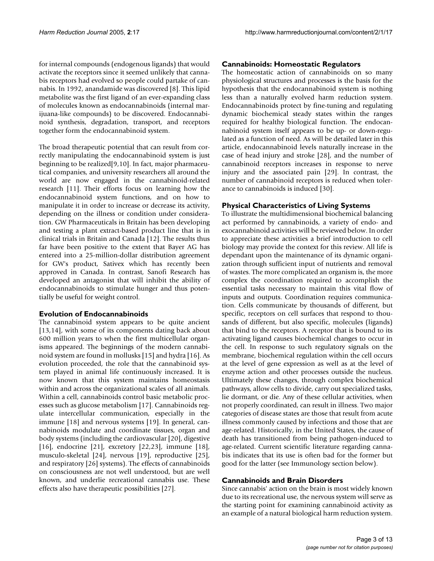for internal compounds (endogenous ligands) that would activate the receptors since it seemed unlikely that cannabis receptors had evolved so people could partake of cannabis. In 1992, anandamide was discovered [8]. This lipid metabolite was the first ligand of an ever-expanding class of molecules known as endocannabinoids (internal marijuana-like compounds) to be discovered. Endocannabinoid synthesis, degradation, transport, and receptors together form the endocannabinoid system.

The broad therapeutic potential that can result from correctly manipulating the endocannabinoid system is just beginning to be realized[9,10]. In fact, major pharmaceutical companies, and university researchers all around the world are now engaged in the cannabinoid-related research [11]. Their efforts focus on learning how the endocannabinoid system functions, and on how to manipulate it in order to increase or decrease its activity, depending on the illness or condition under consideration. GW Pharmaceuticals in Britain has been developing and testing a plant extract-based product line that is in clinical trials in Britain and Canada [[12](#page-9-0)]. The results thus far have been positive to the extent that Bayer AG has entered into a 25-million-dollar distribution agreement for GW's product, Sativex which has recently been approved in Canada. In contrast, Sanofi Research has developed an antagonist that will inhibit the ability of endocannabinoids to stimulate hunger and thus potentially be useful for weight control.

# **Evolution of Endocannabinoids**

The cannabinoid system appears to be quite ancient [13,14], with some of its components dating back about 600 million years to when the first multicellular organisms appeared. The beginnings of the modern cannabinoid system are found in mollusks [15] and hydra [16]. As evolution proceeded, the role that the cannabinoid system played in animal life continuously increased. It is now known that this system maintains homeostasis within and across the organizational scales of all animals. Within a cell, cannabinoids control basic metabolic processes such as glucose metabolism [17]. Cannabinoids regulate intercellular communication, especially in the immune [18] and nervous systems [19]. In general, cannabinoids modulate and coordinate tissues, organ and body systems (including the cardiovascular [20], digestive [16], endocrine [21], excretory [22,23], immune [18], musculo-skeletal [24], nervous [19], reproductive [25], and respiratory [26] systems). The effects of cannabinoids on consciousness are not well understood, but are well known, and underlie recreational cannabis use. These effects also have therapeutic possibilities [27].

# **Cannabinoids: Homeostatic Regulators**

The homeostatic action of cannabinoids on so many physiological structures and processes is the basis for the hypothesis that the endocannabinoid system is nothing less than a naturally evolved harm reduction system. Endocannabinoids protect by fine-tuning and regulating dynamic biochemical steady states within the ranges required for healthy biological function. The endocannabinoid system itself appears to be up- or down-regulated as a function of need. As will be detailed later in this article, endocannabinoid levels naturally increase in the case of head injury and stroke [28], and the number of cannabinoid receptors increases in response to nerve injury and the associated pain [29]. In contrast, the number of cannabinoid receptors is reduced when tolerance to cannabinoids is induced [30].

# **Physical Characteristics of Living Systems**

To illustrate the multidimensional biochemical balancing act performed by cannabinoids, a variety of endo- and exocannabinoid activities will be reviewed below. In order to appreciate these activities a brief introduction to cell biology may provide the context for this review. All life is dependant upon the maintenance of its dynamic organization through sufficient input of nutrients and removal of wastes. The more complicated an organism is, the more complex the coordination required to accomplish the essential tasks necessary to maintain this vital flow of inputs and outputs. Coordination requires communication. Cells communicate by thousands of different, but specific, receptors on cell surfaces that respond to thousands of different, but also specific, molecules (ligands) that bind to the receptors. A receptor that is bound to its activating ligand causes biochemical changes to occur in the cell. In response to such regulatory signals on the membrane, biochemical regulation within the cell occurs at the level of gene expression as well as at the level of enzyme action and other processes outside the nucleus. Ultimately these changes, through complex biochemical pathways, allow cells to divide, carry out specialized tasks, lie dormant, or die. Any of these cellular activities, when not properly coordinated, can result in illness. Two major categories of disease states are those that result from acute illness commonly caused by infections and those that are age-related. Historically, in the United States, the cause of death has transitioned from being pathogen-induced to age-related. Current scientific literature regarding cannabis indicates that its use is often bad for the former but good for the latter (see Immunology section below).

# **Cannabinoids and Brain Disorders**

Since cannabis' action on the brain is most widely known due to its recreational use, the nervous system will serve as the starting point for examining cannabinoid activity as an example of a natural biological harm reduction system.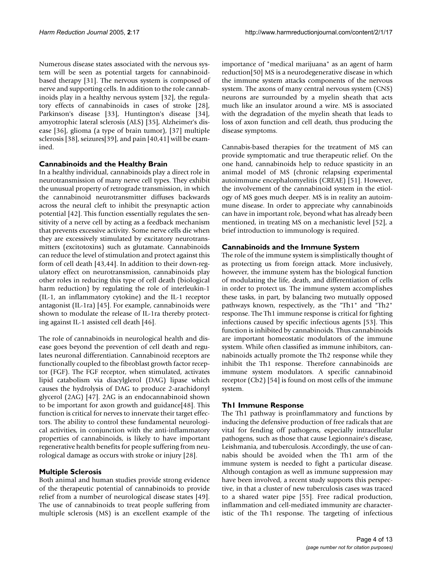Numerous disease states associated with the nervous system will be seen as potential targets for cannabinoidbased therapy [31]. The nervous system is composed of nerve and supporting cells. In addition to the role cannabinoids play in a healthy nervous system [32], the regulatory effects of cannabinoids in cases of stroke [28], Parkinson's disease [33], Huntington's disease [34], amyotrophic lateral sclerosis (ALS) [35], Alzheimer's disease [36], glioma (a type of brain tumor), [37] multiple sclerosis [38], seizures[39], and pain [40,41] will be examined.

#### **Cannabinoids and the Healthy Brain**

In a healthy individual, cannabinoids play a direct role in neurotransmission of many nerve cell types. They exhibit the unusual property of retrograde transmission, in which the cannabinoid neurotransmitter diffuses backwards across the neural cleft to inhibit the presynaptic action potential [42]. This function essentially regulates the sensitivity of a nerve cell by acting as a feedback mechanism that prevents excessive activity. Some nerve cells die when they are excessively stimulated by excitatory neurotransmitters (excitotoxins) such as glutamate. Cannabinoids can reduce the level of stimulation and protect against this form of cell death [43,44]. In addition to their down-regulatory effect on neurotransmission, cannabinoids play other roles in reducing this type of cell death (biological harm reduction) by regulating the role of interleukin-1 (IL-1, an inflammatory cytokine) and the IL-1 receptor antagonist (IL-1ra) [45]. For example, cannabinoids were shown to modulate the release of IL-1ra thereby protecting against IL-1 assisted cell death [46].

The role of cannabinoids in neurological health and disease goes beyond the prevention of cell death and regulates neuronal differentiation. Cannabinoid receptors are functionally coupled to the fibroblast growth factor receptor (FGF). The FGF receptor, when stimulated, activates lipid catabolism via diacylglerol (DAG) lipase which causes the hydrolysis of DAG to produce 2-arachidonyl glycerol (2AG) [47]. 2AG is an endocannabinoid shown to be important for axon growth and guidance[48]. This function is critical for nerves to innervate their target effectors. The ability to control these fundamental neurological activities, in conjunction with the anti-inflammatory properties of cannabinoids, is likely to have important regenerative health benefits for people suffering from neurological damage as occurs with stroke or injury [28].

# **Multiple Sclerosis**

Both animal and human studies provide strong evidence of the therapeutic potential of cannabinoids to provide relief from a number of neurological disease states [49]. The use of cannabinoids to treat people suffering from multiple sclerosis (MS) is an excellent example of the

importance of "medical marijuana" as an agent of harm reduction[50] MS is a neurodegenerative disease in which the immune system attacks components of the nervous system. The axons of many central nervous system (CNS) neurons are surrounded by a myelin sheath that acts much like an insulator around a wire. MS is associated with the degradation of the myelin sheath that leads to loss of axon function and cell death, thus producing the disease symptoms.

Cannabis-based therapies for the treatment of MS can provide symptomatic and true therapeutic relief. On the one hand, cannabinoids help to reduce spasticity in an animal model of MS (chronic relapsing experimental autoimmune encephalomyelitis (CREAE) [51]. However, the involvement of the cannabinoid system in the etiology of MS goes much deeper. MS is in reality an autoimmune disease. In order to appreciate why cannabinoids can have in important role, beyond what has already been mentioned, in treating MS on a mechanistic level [52], a brief introduction to immunology is required.

#### **Cannabinoids and the Immune System**

The role of the immune system is simplistically thought of as protecting us from foreign attack. More inclusively, however, the immune system has the biological function of modulating the life, death, and differentiation of cells in order to protect us. The immune system accomplishes these tasks, in part, by balancing two mutually opposed pathways known, respectively, as the "Th1" and "Th2" response. The Th1 immune response is critical for fighting infections caused by specific infectious agents [53]. This function is inhibited by cannabinoids. Thus cannabinoids are important homeostatic modulators of the immune system. While often classified as immune inhibitors, cannabinoids actually promote the Th2 response while they inhibit the Th1 response. Therefore cannabinoids are immune system modulators. A specific cannabinoid receptor (Cb2) [54] is found on most cells of the immune system.

# **Th1 Immune Response**

The Th1 pathway is proinflammatory and functions by inducing the defensive production of free radicals that are vital for fending off pathogens, especially intracellular pathogens, such as those that cause Legionnaire's disease, Leishmania, and tuberculosis. Accordingly, the use of cannabis should be avoided when the Th1 arm of the immune system is needed to fight a particular disease. Although contagion as well as immune suppression may have been involved, a recent study supports this perspective, in that a cluster of new tuberculosis cases was traced to a shared water pipe [55]. Free radical production, inflammation and cell-mediated immunity are characteristic of the Th1 response. The targeting of infectious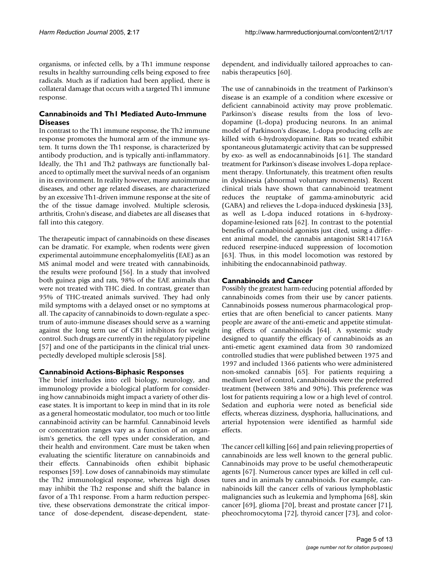organisms, or infected cells, by a Th1 immune response results in healthy surrounding cells being exposed to free radicals. Much as if radiation had been applied, there is collateral damage that occurs with a targeted Th1 immune response.

#### **Cannabinoids and Th1 Mediated Auto-Immune Diseases**

In contrast to the Th1 immune response, the Th2 immune response promotes the humoral arm of the immune system. It turns down the Th1 response, is characterized by antibody production, and is typically anti-inflammatory. Ideally, the Th1 and Th2 pathways are functionally balanced to optimally meet the survival needs of an organism in its environment. In reality however, many autoimmune diseases, and other age related diseases, are characterized by an excessive Th1-driven immune response at the site of the of the tissue damage involved. Multiple sclerosis, arthritis, Crohn's disease, and diabetes are all diseases that fall into this category.

The therapeutic impact of cannabinoids on these diseases can be dramatic. For example, when rodents were given experimental autoimmune encephalomyelitis (EAE) as an MS animal model and were treated with cannabinoids, the results were profound [56]. In a study that involved both guinea pigs and rats, 98% of the EAE animals that were not treated with THC died. In contrast, greater than 95% of THC-treated animals survived. They had only mild symptoms with a delayed onset or no symptoms at all. The capacity of cannabinoids to down-regulate a spectrum of auto-immune diseases should serve as a warning against the long term use of CB1 inhibitors for weight control. Such drugs are currently in the regulatory pipeline [57] and one of the participants in the clinical trial unexpectedly developed multiple sclerosis [58].

# **Cannabinoid Actions-Biphasic Responses**

The brief interludes into cell biology, neurology, and immunology provide a biological platform for considering how cannabinoids might impact a variety of other disease states. It is important to keep in mind that in its role as a general homeostatic modulator, too much or too little cannabinoid activity can be harmful. Cannabinoid levels or concentration ranges vary as a function of an organism's genetics, the cell types under consideration, and their health and environment. Care must be taken when evaluating the scientific literature on cannabinoids and their effects. Cannabinoids often exhibit biphasic responses [59]. Low doses of cannabinoids may stimulate the Th2 immunological response, whereas high doses may inhibit the Th2 response and shift the balance in favor of a Th1 response. From a harm reduction perspective, these observations demonstrate the critical importance of dose-dependent, disease-dependent, statedependent, and individually tailored approaches to cannabis therapeutics [60].

The use of cannabinoids in the treatment of Parkinson's disease is an example of a condition where excessive or deficient cannabinoid activity may prove problematic. Parkinson's disease results from the loss of levodopamine (L-dopa) producing neurons. In an animal model of Parkinson's disease, L-dopa producing cells are killed with 6-hydroxydopamine. Rats so treated exhibit spontaneous glutamatergic activity that can be suppressed by exo- as well as endocannabinoids [61]. The standard treatment for Parkinson's disease involves L-dopa replacement therapy. Unfortunately, this treatment often results in dyskinesia (abnormal voluntary movements). Recent clinical trials have shown that cannabinoid treatment reduces the reuptake of gamma-aminobutyric acid (GABA) and relieves the L-dopa-induced dyskinesia [33], as well as L-dopa induced rotations in 6-hydroxydopamine-lesioned rats [62]. In contrast to the potential benefits of cannabinoid agonists just cited, using a different animal model, the cannabis antagonist SR141716A reduced reserpine-induced suppression of locomotion [63]. Thus, in this model locomotion was restored by inhibiting the endocannabinoid pathway.

#### **Cannabinoids and Cancer**

Possibly the greatest harm-reducing potential afforded by cannabinoids comes from their use by cancer patients. Cannabinoids possess numerous pharmacological properties that are often beneficial to cancer patients. Many people are aware of the anti-emetic and appetite stimulating effects of cannabinoids [64]. A systemic study designed to quantify the efficacy of cannabinoids as an anti-emetic agent examined data from 30 randomized controlled studies that were published between 1975 and 1997 and included 1366 patients who were administered non-smoked cannabis [65]. For patients requiring a medium level of control, cannabinoids were the preferred treatment (between 38% and 90%). This preference was lost for patients requiring a low or a high level of control. Sedation and euphoria were noted as beneficial side effects, whereas dizziness, dysphoria, hallucinations, and arterial hypotension were identified as harmful side effects.

The cancer cell killing [66] and pain relieving properties of cannabinoids are less well known to the general public. Cannabinoids may prove to be useful chemotherapeutic agents [67]. Numerous cancer types are killed in cell cultures and in animals by cannabinoids. For example, cannabinoids kill the cancer cells of various lymphoblastic malignancies such as leukemia and lymphoma [68], skin cancer [69], glioma [70], breast and prostate cancer [71], pheochromocytoma [72], thyroid cancer [73], and color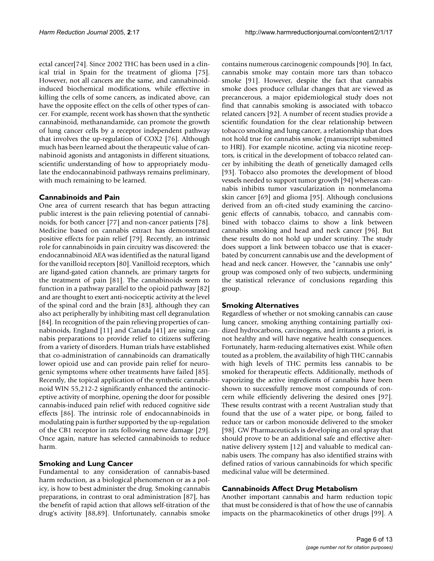ectal cancer[74]. Since 2002 THC has been used in a clinical trial in Spain for the treatment of glioma [75]. However, not all cancers are the same, and cannabinoidinduced biochemical modifications, while effective in killing the cells of some cancers, as indicated above, can have the opposite effect on the cells of other types of cancer. For example, recent work has shown that the synthetic cannabinoid, methanandamide, can promote the growth of lung cancer cells by a receptor independent pathway that involves the up-regulation of COX2 [76]. Although much has been learned about the therapeutic value of cannabinoid agonists and antagonists in different situations, scientific understanding of how to appropriately modulate the endocannabinoid pathways remains preliminary, with much remaining to be learned.

#### **Cannabinoids and Pain**

One area of current research that has begun attracting public interest is the pain relieving potential of cannabinoids, for both cancer [77] and non-cancer patients [78]. Medicine based on cannabis extract has demonstrated positive effects for pain relief [79]. Recently, an intrinsic role for cannabinoids in pain circuitry was discovered: the endocannabinoid AEA was identified as the natural ligand for the vanilloid receptors [80]. Vanilloid receptors, which are ligand-gated cation channels, are primary targets for the treatment of pain [81]. The cannabinoids seem to function in a pathway parallel to the opioid pathway [82] and are thought to exert anti-nociceptic activity at the level of the spinal cord and the brain [83], although they can also act peripherally by inhibiting mast cell degranulation [84]. In recognition of the pain relieving properties of cannabinoids, England [11] and Canada [41] are using cannabis preparations to provide relief to citizens suffering from a variety of disorders. Human trials have established that co-administration of cannabinoids can dramatically lower opioid use and can provide pain relief for neurogenic symptoms where other treatments have failed [85]. Recently, the topical application of the synthetic cannabinoid WIN 55,212-2 significantly enhanced the antinociceptive activity of morphine, opening the door for possible cannabis-induced pain relief with reduced cognitive side effects [86]. The intrinsic role of endocannabinoids in modulating pain is further supported by the up-regulation of the CB1 receptor in rats following nerve damage [29]. Once again, nature has selected cannabinoids to reduce harm.

# **Smoking and Lung Cancer**

Fundamental to any consideration of cannabis-based harm reduction, as a biological phenomenon or as a policy, is how to best administer the drug. Smoking cannabis preparations, in contrast to oral administration [87], has the benefit of rapid action that allows self-titration of the drug's activity [88,89]. Unfortunately, cannabis smoke

contains numerous carcinogenic compounds [90]. In fact, cannabis smoke may contain more tars than tobacco smoke [91]. However, despite the fact that cannabis smoke does produce cellular changes that are viewed as precancerous, a major epidemiological study does not find that cannabis smoking is associated with tobacco related cancers [92]. A number of recent studies provide a scientific foundation for the clear relationship between tobacco smoking and lung cancer, a relationship that does not hold true for cannabis smoke (manuscript submitted to HRJ). For example nicotine, acting via nicotine receptors, is critical in the development of tobacco related cancer by inhibiting the death of genetically damaged cells [93]. Tobacco also promotes the development of blood vessels needed to support tumor growth [94] whereas cannabis inhibits tumor vascularization in nonmelanoma skin cancer [69] and glioma [95]. Although conclusions derived from an oft-cited study examining the carcinogenic effects of cannabis, tobacco, and cannabis combined with tobacco claims to show a link between cannabis smoking and head and neck cancer [96]. But these results do not hold up under scrutiny. The study does support a link between tobacco use that is exacerbated by concurrent cannabis use and the development of head and neck cancer. However, the "cannabis use only" group was composed only of two subjects, undermining the statistical relevance of conclusions regarding this group.

#### **Smoking Alternatives**

Regardless of whether or not smoking cannabis can cause lung cancer, smoking anything containing partially oxidized hydrocarbons, carcinogens, and irritants a priori, is not healthy and will have negative health consequences. Fortunately, harm-reducing alternatives exist. While often touted as a problem, the availability of high THC cannabis with high levels of THC permits less cannabis to be smoked for therapeutic effects. Additionally, methods of vaporizing the active ingredients of cannabis have been shown to successfully remove most compounds of concern while efficiently delivering the desired ones [97]. These results contrast with a recent Australian study that found that the use of a water pipe, or bong, failed to reduce tars or carbon monoxide delivered to the smoker [98]. GW Pharmaceuticals is developing an oral spray that should prove to be an additional safe and effective alternative delivery system [\[12\]](#page-9-0) and valuable to medical cannabis users. The company has also identified strains with defined ratios of various cannabinoids for which specific medicinal value will be determined.

# **Cannabinoids Affect Drug Metabolism**

Another important cannabis and harm reduction topic that must be considered is that of how the use of cannabis impacts on the pharmacokinetics of other drugs [99]. A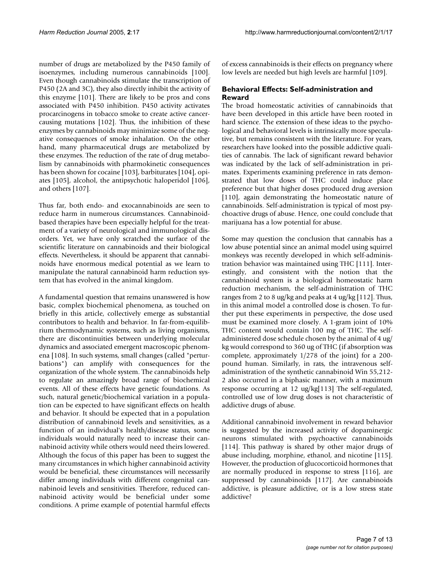number of drugs are metabolized by the P450 family of isoenzymes, including numerous cannabinoids [100]. Even though cannabinoids stimulate the transcription of P450 (2A and 3C), they also directly inhibit the activity of this enzyme [101]. There are likely to be pros and cons associated with P450 inhibition. P450 activity activates procarcinogens in tobacco smoke to create active cancercausing mutations [102]. Thus, the inhibition of these enzymes by cannabinoids may minimize some of the negative consequences of smoke inhalation. On the other hand, many pharmaceutical drugs are metabolized by these enzymes. The reduction of the rate of drug metabolism by cannabinoids with pharmokinetic consequences has been shown for cocaine [103], barbiturates [104], opiates [105], alcohol, the antipsychotic haloperidol [106], and others [107].

Thus far, both endo- and exocannabinoids are seen to reduce harm in numerous circumstances. Cannabinoidbased therapies have been especially helpful for the treatment of a variety of neurological and immunological disorders. Yet, we have only scratched the surface of the scientific literature on cannabinoids and their biological effects. Nevertheless, it should be apparent that cannabinoids have enormous medical potential as we learn to manipulate the natural cannabinoid harm reduction system that has evolved in the animal kingdom.

A fundamental question that remains unanswered is how basic, complex biochemical phenomena, as touched on briefly in this article, collectively emerge as substantial contributors to health and behavior. In far-from-equilibrium thermodynamic systems, such as living organisms, there are discontinuities between underlying molecular dynamics and associated emergent macroscopic phenomena [108]. In such systems, small changes (called "perturbations") can amplify with consequences for the organization of the whole system. The cannabinoids help to regulate an amazingly broad range of biochemical events. All of these effects have genetic foundations. As such, natural genetic/biochemical variation in a population can be expected to have significant effects on health and behavior. It should be expected that in a population distribution of cannabinoid levels and sensitivities, as a function of an individual's health/disease status, some individuals would naturally need to increase their cannabinoid activity while others would need theirs lowered. Although the focus of this paper has been to suggest the many circumstances in which higher cannabinoid activity would be beneficial, these circumstances will necessarily differ among individuals with different congenital cannabinoid levels and sensitivities. Therefore, reduced cannabinoid activity would be beneficial under some conditions. A prime example of potential harmful effects

of excess cannabinoids is their effects on pregnancy where low levels are needed but high levels are harmful [109].

#### **Behavioral Effects: Self-administration and Reward**

The broad homeostatic activities of cannabinoids that have been developed in this article have been rooted in hard science. The extension of these ideas to the psychological and behavioral levels is intrinsically more speculative, but remains consistent with the literature. For years, researchers have looked into the possible addictive qualities of cannabis. The lack of significant reward behavior was indicated by the lack of self-administration in primates. Experiments examining preference in rats demonstrated that low doses of THC could induce place preference but that higher doses produced drug aversion [110], again demonstrating the homeostatic nature of cannabinoids. Self-administration is typical of most psychoactive drugs of abuse. Hence, one could conclude that marijuana has a low potential for abuse.

Some may question the conclusion that cannabis has a low abuse potential since an animal model using squirrel monkeys was recently developed in which self-administration behavior was maintained using THC [111]. Interestingly, and consistent with the notion that the cannabinoid system is a biological homeostatic harm reduction mechanism, the self-administration of THC ranges from 2 to 8 ug/kg and peaks at 4 ug/kg [112]. Thus, in this animal model a controlled dose is chosen. To further put these experiments in perspective, the dose used must be examined more closely. A 1-gram joint of 10% THC content would contain 100 mg of THC. The selfadministered dose schedule chosen by the animal of 4 ug/ kg would correspond to 360 ug of THC (if absorption was complete, approximately 1/278 of the joint) for a 200 pound human. Similarly, in rats, the intravenous selfadministration of the synthetic cannabinoid Win 55,212- 2 also occurred in a biphasic manner, with a maximum response occurring at 12 ug/kg[113] The self-regulated, controlled use of low drug doses is not characteristic of addictive drugs of abuse.

Additional cannabinoid involvement in reward behavior is suggested by the increased activity of dopaminergic neurons stimulated with psychoactive cannabinoids [114]. This pathway is shared by other major drugs of abuse including, morphine, ethanol, and nicotine [115]. However, the production of glucocorticoid hormones that are normally produced in response to stress [116], are suppressed by cannabinoids [117]. Are cannabinoids addictive, is pleasure addictive, or is a low stress state addictive?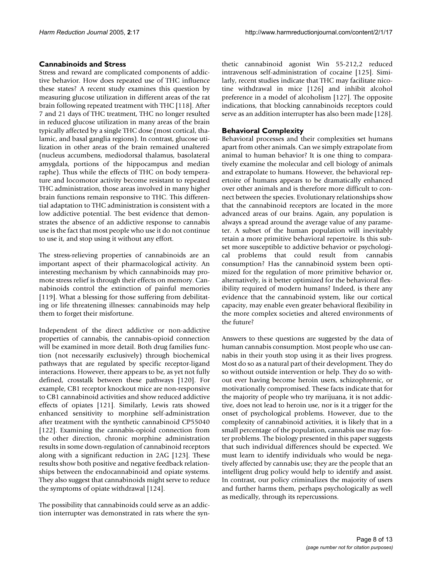#### **Cannabinoids and Stress**

Stress and reward are complicated components of addictive behavior. How does repeated use of THC influence these states? A recent study examines this question by measuring glucose utilization in different areas of the rat brain following repeated treatment with THC [118]. After 7 and 21 days of THC treatment, THC no longer resulted in reduced glucose utilization in many areas of the brain typically affected by a single THC dose (most cortical, thalamic, and basal ganglia regions). In contrast, glucose utilization in other areas of the brain remained unaltered (nucleus accumbens, mediodorsal thalamus, basolateral amygdala, portions of the hippocampus and median raphe). Thus while the effects of THC on body temperature and locomotor activity become resistant to repeated THC administration, those areas involved in many higher brain functions remain responsive to THC. This differential adaptation to THC administration is consistent with a low addictive potential. The best evidence that demonstrates the absence of an addictive response to cannabis use is the fact that most people who use it do not continue to use it, and stop using it without any effort.

The stress-relieving properties of cannabinoids are an important aspect of their pharmacological activity. An interesting mechanism by which cannabinoids may promote stress relief is through their effects on memory. Cannabinoids control the extinction of painful memories [119]. What a blessing for those suffering from debilitating or life threatening illnesses: cannabinoids may help them to forget their misfortune.

Independent of the direct addictive or non-addictive properties of cannabis, the cannabis-opioid connection will be examined in more detail. Both drug families function (not necessarily exclusively) through biochemical pathways that are regulated by specific receptor-ligand interactions. However, there appears to be, as yet not fully defined, crosstalk between these pathways [120]. For example, CB1 receptor knockout mice are non-responsive to CB1 cannabinoid activities and show reduced addictive effects of opiates [121]. Similarly, Lewis rats showed enhanced sensitivity to morphine self-administration after treatment with the synthetic cannabinoid CP55040 [122]. Examining the cannabis-opioid connection from the other direction, chronic morphine administration results in some down-regulation of cannabinoid receptors along with a significant reduction in 2AG [123]. These results show both positive and negative feedback relationships between the endocannabinoid and opiate systems. They also suggest that cannabinoids might serve to reduce the symptoms of opiate withdrawal [124].

The possibility that cannabinoids could serve as an addiction interrupter was demonstrated in rats where the synthetic cannabinoid agonist Win 55-212,2 reduced intravenous self-administration of cocaine [125]. Similarly, recent studies indicate that THC may facilitate nicotine withdrawal in mice [126] and inhibit alcohol preference in a model of alcoholism [127]. The opposite indications, that blocking cannabinoids receptors could serve as an addition interrupter has also been made [128].

# **Behavioral Complexity**

Behavioral processes and their complexities set humans apart from other animals. Can we simply extrapolate from animal to human behavior? It is one thing to comparatively examine the molecular and cell biology of animals and extrapolate to humans. However, the behavioral repertoire of humans appears to be dramatically enhanced over other animals and is therefore more difficult to connect between the species. Evolutionary relationships show that the cannabinoid receptors are located in the more advanced areas of our brains. Again, any population is always a spread around the average value of any parameter. A subset of the human population will inevitably retain a more primitive behavioral repertoire. Is this subset more susceptible to addictive behavior or psychological problems that could result from cannabis consumption? Has the cannabinoid system been optimized for the regulation of more primitive behavior or, alternatively, is it better optimized for the behavioral flexibility required of modern humans? Indeed, is there any evidence that the cannabinoid system, like our cortical capacity, may enable even greater behavioral flexibility in the more complex societies and altered environments of the future?

Answers to these questions are suggested by the data of human cannabis consumption. Most people who use cannabis in their youth stop using it as their lives progress. Most do so as a natural part of their development. They do so without outside intervention or help. They do so without ever having become heroin users, schizophrenic, or motivationally compromised. These facts indicate that for the majority of people who try marijuana, it is not addictive, does not lead to heroin use, nor is it a trigger for the onset of psychological problems. However, due to the complexity of cannabinoid activities, it is likely that in a small percentage of the population, cannabis use may foster problems. The biology presented in this paper suggests that such individual differences should be expected. We must learn to identify individuals who would be negatively affected by cannabis use; they are the people that an intelligent drug policy would help to identify and assist. In contrast, our policy criminalizes the majority of users and further harms them, perhaps psychologically as well as medically, through its repercussions.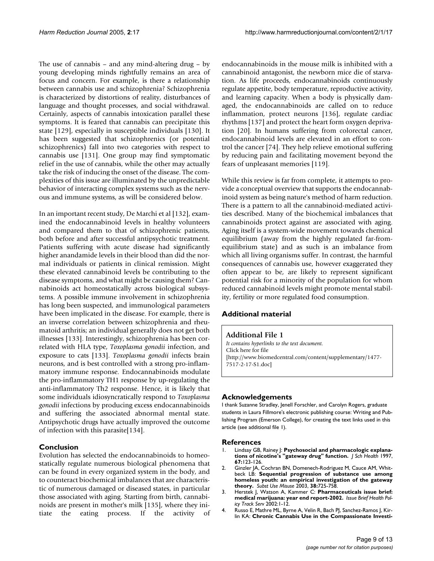The use of cannabis – and any mind-altering drug – by young developing minds rightfully remains an area of focus and concern. For example, is there a relationship between cannabis use and schizophrenia? Schizophrenia is characterized by distortions of reality, disturbances of language and thought processes, and social withdrawal. Certainly, aspects of cannabis intoxication parallel these symptoms. It is feared that cannabis can precipitate this state [129], especially in susceptible individuals [130]. It has been suggested that schizophrenics (or potential schizophrenics) fall into two categories with respect to cannabis use [131]. One group may find symptomatic relief in the use of cannabis, while the other may actually take the risk of inducing the onset of the disease. The complexities of this issue are illuminated by the unpredictable behavior of interacting complex systems such as the nervous and immune systems, as will be considered below.

In an important recent study, De Marchi et al [132], examined the endocannabinoid levels in healthy volunteers and compared them to that of schizophrenic patients, both before and after successful antipsychotic treatment. Patients suffering with acute disease had significantly higher anandamide levels in their blood than did the normal individuals or patients in clinical remission. Might these elevated cannabinoid levels be contributing to the disease symptoms, and what might be causing them? Cannabinoids act homeostatically across biological subsystems. A possible immune involvement in schizophrenia has long been suspected, and immunological parameters have been implicated in the disease. For example, there is an inverse correlation between schizophrenia and rheumatoid arthritis; an individual generally does not get both illnesses [133]. Interestingly, schizophrenia has been correlated with HLA type, *Toxoplasma gonodii* infection, and exposure to cats [133]. *Toxoplasma gonodii* infects brain neurons, and is best controlled with a strong pro-inflammatory immune response. Endocannabinoids modulate the pro-inflammatory TH1 response by up-regulating the anti-inflammatory Th2 response. Hence, it is likely that some individuals idiosyncratically respond to *Toxoplasma gonodii* infections by producing excess endocannabinoids and suffering the associated abnormal mental state. Antipsychotic drugs have actually improved the outcome of infection with this parasite[134].

#### **Conclusion**

Evolution has selected the endocannabinoids to homeostatically regulate numerous biological phenomena that can be found in every organized system in the body, and to counteract biochemical imbalances that are characteristic of numerous damaged or diseased states, in particular those associated with aging. Starting from birth, cannabinoids are present in mother's milk [135], where they initiate the eating process. If the activity of endocannabinoids in the mouse milk is inhibited with a cannabinoid antagonist, the newborn mice die of starvation. As life proceeds, endocannabinoids continuously regulate appetite, body temperature, reproductive activity, and learning capacity. When a body is physically damaged, the endocannabinoids are called on to reduce inflammation, protect neurons [136], regulate cardiac rhythms [137] and protect the heart form oxygen deprivation [20]. In humans suffering from colorectal cancer, endocannabinoid levels are elevated in an effort to control the cancer [74]. They help relieve emotional suffering by reducing pain and facilitating movement beyond the fears of unpleasant memories [119].

While this review is far from complete, it attempts to provide a conceptual overview that supports the endocannabinoid system as being nature's method of harm reduction. There is a pattern to all the cannabinoid-mediated activities described. Many of the biochemical imbalances that cannabinoids protect against are associated with aging. Aging itself is a system-wide movement towards chemical equilibrium (away from the highly regulated far-fromequilibrium state) and as such is an imbalance from which all living organisms suffer. In contrast, the harmful consequences of cannabis use, however exaggerated they often appear to be, are likely to represent significant potential risk for a minority of the population for whom reduced cannabinoid levels might promote mental stability, fertility or more regulated food consumption.

# **Additional material**

#### **Additional File 1**

*It contains hyperlinks to the text document.* Click here for file [\[http://www.biomedcentral.com/content/supplementary/1477-](http://www.biomedcentral.com/content/supplementary/1477-7517-2-17-S1.doc) 7517-2-17-S1.doc]

#### **Acknowledgements**

I thank Suzanne Stradley, Jenell Forschler, and Carolyn Rogers, graduate students in Laura Fillmore's electronic publishing course: Writing and Publishing Program (Emerson College), for creating the text links used in this article (see additional file 1).

#### **References**

- 1. Lindsay GB, Rainey J: **[Psychosocial and pharmacologic explana](http://www.ncbi.nlm.nih.gov/entrez/query.fcgi?cmd=Retrieve&db=PubMed&dopt=Abstract&list_uids=9130188)[tions of nicotine's "gateway drug" function.](http://www.ncbi.nlm.nih.gov/entrez/query.fcgi?cmd=Retrieve&db=PubMed&dopt=Abstract&list_uids=9130188)** *J Sch Health* 1997, **67:**123-126.
- 2. Ginzler JA, Cochran BN, Domenech-Rodriguez M, Cauce AM, Whitbeck LB: **[Sequential progression of substance use among](http://www.ncbi.nlm.nih.gov/entrez/query.fcgi?cmd=Retrieve&db=PubMed&dopt=Abstract&list_uids=12747403) [homeless youth: an empirical investigation of the gateway](http://www.ncbi.nlm.nih.gov/entrez/query.fcgi?cmd=Retrieve&db=PubMed&dopt=Abstract&list_uids=12747403) [theory.](http://www.ncbi.nlm.nih.gov/entrez/query.fcgi?cmd=Retrieve&db=PubMed&dopt=Abstract&list_uids=12747403)** *Subst Use Misuse* 2003, **38:**725-758.
- 3. Herstek J, Watson A, Kammer C: **[Pharmaceuticals issue brief:](http://www.ncbi.nlm.nih.gov/entrez/query.fcgi?cmd=Retrieve&db=PubMed&dopt=Abstract&list_uids=12856685) [medical marijuana: year end report-2002.](http://www.ncbi.nlm.nih.gov/entrez/query.fcgi?cmd=Retrieve&db=PubMed&dopt=Abstract&list_uids=12856685)** *Issue Brief Health Policy Track Serv* 2002:1-12.
- 4. Russo E, Mathre ML, Byrne A, Velin R, Bach PJ, Sanchez-Ramos J, Kirlin KA: **Chronic Cannabis Use in the Compassionate Investi-**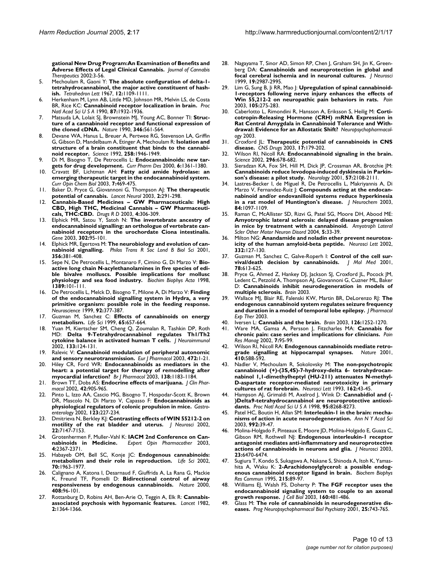**gational New Drug Program:An Examination of Benefits and Adverse Effects of Legal Clinical Cannabis.** *Journal of Cannabis Therapeutics* 2002:3-56.

- 5. Mechoulam R, Gaoni Y: **[The absolute configuration of delta-1](http://www.ncbi.nlm.nih.gov/entrez/query.fcgi?cmd=Retrieve&db=PubMed&dopt=Abstract&list_uids=6039537) [tetrahydrocannabinol, the major active constituent of hash](http://www.ncbi.nlm.nih.gov/entrez/query.fcgi?cmd=Retrieve&db=PubMed&dopt=Abstract&list_uids=6039537)[ish.](http://www.ncbi.nlm.nih.gov/entrez/query.fcgi?cmd=Retrieve&db=PubMed&dopt=Abstract&list_uids=6039537)** *Tetrahedron Lett* 1967, **12:**1109-1111.
- Herkenham M, Lynn AB, Little MD, Johnson MR, Melvin LS, de Costa BR, Rice KC: **[Cannabinoid receptor localization in brain.](http://www.ncbi.nlm.nih.gov/entrez/query.fcgi?cmd=Retrieve&db=PubMed&dopt=Abstract&list_uids=2308954)** *Proc Natl Acad Sci U S A* 1990, **87:**1932-1936.
- 7. Matsuda LA, Lolait SJ, Brownstein MJ, Young AC, Bonner TI: **[Struc](http://www.ncbi.nlm.nih.gov/entrez/query.fcgi?cmd=Retrieve&db=PubMed&dopt=Abstract&list_uids=2165569)[ture of a cannabinoid receptor and functional expression of](http://www.ncbi.nlm.nih.gov/entrez/query.fcgi?cmd=Retrieve&db=PubMed&dopt=Abstract&list_uids=2165569) [the cloned cDNA.](http://www.ncbi.nlm.nih.gov/entrez/query.fcgi?cmd=Retrieve&db=PubMed&dopt=Abstract&list_uids=2165569)** *Nature* 1990, **346:**561-564.
- 8. Devane WA, Hanus L, Breuer A, Pertwee RG, Stevenson LA, Griffin G, Gibson D, Mandelbaum A, Etinger A, Mechoulam R: **[Isolation and](http://www.ncbi.nlm.nih.gov/entrez/query.fcgi?cmd=Retrieve&db=PubMed&dopt=Abstract&list_uids=1470919) [structure of a brain constituent that binds to the cannabi](http://www.ncbi.nlm.nih.gov/entrez/query.fcgi?cmd=Retrieve&db=PubMed&dopt=Abstract&list_uids=1470919)[noid receptor.](http://www.ncbi.nlm.nih.gov/entrez/query.fcgi?cmd=Retrieve&db=PubMed&dopt=Abstract&list_uids=1470919)** *Science* 1992, **258:**1946-1949.
- 9. Di M, Bisogno T, De Petrocellis L: **[Endocannabinoids: new tar](http://www.ncbi.nlm.nih.gov/entrez/query.fcgi?cmd=Retrieve&db=PubMed&dopt=Abstract&list_uids=10903398)[gets for drug development.](http://www.ncbi.nlm.nih.gov/entrez/query.fcgi?cmd=Retrieve&db=PubMed&dopt=Abstract&list_uids=10903398)** *Curr Pharm Des* 2000, **6:**1361-1380.
- 10. Cravatt BF, Lichtman AH: **[Fatty acid amide hydrolase: an](http://www.ncbi.nlm.nih.gov/entrez/query.fcgi?cmd=Retrieve&db=PubMed&dopt=Abstract&list_uids=12941421) [emerging therapeutic target in the endocannabinoid system.](http://www.ncbi.nlm.nih.gov/entrez/query.fcgi?cmd=Retrieve&db=PubMed&dopt=Abstract&list_uids=12941421)** *Curr Opin Chem Biol* 2003, **7:**469-475.
- 11. Baker D, Pryce G, Giovannoni G, Thompson AJ: **[The therapeutic](http://www.ncbi.nlm.nih.gov/entrez/query.fcgi?cmd=Retrieve&db=PubMed&dopt=Abstract&list_uids=12849183) [potential of cannabis.](http://www.ncbi.nlm.nih.gov/entrez/query.fcgi?cmd=Retrieve&db=PubMed&dopt=Abstract&list_uids=12849183)** *Lancet Neurol* 2003, **2:**291-298.
- <span id="page-9-0"></span>12. **[Cannabis-Based Medicines – GW Pharmaceuticals: High](http://www.ncbi.nlm.nih.gov/entrez/query.fcgi?cmd=Retrieve&db=PubMed&dopt=Abstract&list_uids=12952500) [CBD, High THC, Medicinal Cannabis – GW Pharmaceuti](http://www.ncbi.nlm.nih.gov/entrez/query.fcgi?cmd=Retrieve&db=PubMed&dopt=Abstract&list_uids=12952500)[cals, THC:CBD.](http://www.ncbi.nlm.nih.gov/entrez/query.fcgi?cmd=Retrieve&db=PubMed&dopt=Abstract&list_uids=12952500)** *Drugs R D* 2003, **4:**306-309.
- 13. Elphick MR, Satou Y, Satoh N: **[The invertebrate ancestry of](http://www.ncbi.nlm.nih.gov/entrez/query.fcgi?cmd=Retrieve&db=PubMed&dopt=Abstract&list_uids=12527200) [endocannabinoid signalling: an orthologue of vertebrate can](http://www.ncbi.nlm.nih.gov/entrez/query.fcgi?cmd=Retrieve&db=PubMed&dopt=Abstract&list_uids=12527200)nabinoid receptors in the urochordate Ciona intestinalis.** *Gene* 2003, **302:**95-101.
- 14. Elphick MR, Egertova M: **[The neurobiology and evolution of can](http://www.ncbi.nlm.nih.gov/entrez/query.fcgi?cmd=Retrieve&db=PubMed&dopt=Abstract&list_uids=11316486)[nabinoid signalling.](http://www.ncbi.nlm.nih.gov/entrez/query.fcgi?cmd=Retrieve&db=PubMed&dopt=Abstract&list_uids=11316486)** *Philos Trans R Soc Lond B Biol Sci* 2001, **356:**381-408.
- 15. Sepe N, De Petrocellis L, Montanaro F, Cimino G, Di Marzo V: **[Bio](http://www.ncbi.nlm.nih.gov/entrez/query.fcgi?cmd=Retrieve&db=PubMed&dopt=Abstract&list_uids=9461251)[active long chain N-acylethanolamines in five species of edi](http://www.ncbi.nlm.nih.gov/entrez/query.fcgi?cmd=Retrieve&db=PubMed&dopt=Abstract&list_uids=9461251)ble bivalve molluscs. Possible implications for mollusc [physiology and sea food industry.](http://www.ncbi.nlm.nih.gov/entrez/query.fcgi?cmd=Retrieve&db=PubMed&dopt=Abstract&list_uids=9461251)** *Biochim Biophys Acta* 1998, **1389:**101-111.
- 16. De Petrocellis L, Melck D, Bisogno T, Milone A, Di Marzo V: **[Finding](http://www.ncbi.nlm.nih.gov/entrez/query.fcgi?cmd=Retrieve&db=PubMed&dopt=Abstract&list_uids=10392859) [of the endocannabinoid signalling system in Hydra, a very](http://www.ncbi.nlm.nih.gov/entrez/query.fcgi?cmd=Retrieve&db=PubMed&dopt=Abstract&list_uids=10392859) primitive organism: possible role in the feeding response.** *Neuroscience* 1999, **92:**377-387.
- 17. Guzman M, Sanchez C: **[Effects of cannabinoids on energy](http://www.ncbi.nlm.nih.gov/entrez/query.fcgi?cmd=Retrieve&db=PubMed&dopt=Abstract&list_uids=10462066) [metabolism.](http://www.ncbi.nlm.nih.gov/entrez/query.fcgi?cmd=Retrieve&db=PubMed&dopt=Abstract&list_uids=10462066)** *Life Sci* 1999, **65:**657-664.
- Yuan M, Kiertscher SM, Cheng Q, Zoumalan R, Tashkin DP, Roth MD: **[Delta 9-Tetrahydrocannabinol regulates Th1/Th2](http://www.ncbi.nlm.nih.gov/entrez/query.fcgi?cmd=Retrieve&db=PubMed&dopt=Abstract&list_uids=12446015) [cytokine balance in activated human T cells.](http://www.ncbi.nlm.nih.gov/entrez/query.fcgi?cmd=Retrieve&db=PubMed&dopt=Abstract&list_uids=12446015)** *J Neuroimmunol* 2002, **133:**124-131.
- 19. Ralevic V: **[Cannabinoid modulation of peripheral autonomic](http://www.ncbi.nlm.nih.gov/entrez/query.fcgi?cmd=Retrieve&db=PubMed&dopt=Abstract&list_uids=12860468) [and sensory neurotransmission.](http://www.ncbi.nlm.nih.gov/entrez/query.fcgi?cmd=Retrieve&db=PubMed&dopt=Abstract&list_uids=12860468)** *Eur J Pharmacol* 2003, **472:**1-21.
- 20. Hiley CR, Ford WR: **[Endocannabinoids as mediators in the](http://www.ncbi.nlm.nih.gov/entrez/query.fcgi?cmd=Retrieve&db=PubMed&dopt=Abstract&list_uids=12711614) [heart: a potential target for therapy of remodelling after](http://www.ncbi.nlm.nih.gov/entrez/query.fcgi?cmd=Retrieve&db=PubMed&dopt=Abstract&list_uids=12711614) [myocardial infarction?](http://www.ncbi.nlm.nih.gov/entrez/query.fcgi?cmd=Retrieve&db=PubMed&dopt=Abstract&list_uids=12711614)** *Br J Pharmacol* 2003, **138:**1183-1184.
- 21. Brown TT, Dobs AS: **[Endocrine effects of marijuana.](http://www.ncbi.nlm.nih.gov/entrez/query.fcgi?cmd=Retrieve&db=PubMed&dopt=Abstract&list_uids=12412841)** *J Clin Pharmacol* 2002, **42:**90S-96S.
- 22. Pinto L, Izzo AA, Cascio MG, Bisogno T, Hospodar-Scott K, Brown DR, Mascolo N, Di Marzo V, Capasso F: **[Endocannabinoids as](http://www.ncbi.nlm.nih.gov/entrez/query.fcgi?cmd=Retrieve&db=PubMed&dopt=Abstract&list_uids=12105851) [physiological regulators of colonic propulsion in mice.](http://www.ncbi.nlm.nih.gov/entrez/query.fcgi?cmd=Retrieve&db=PubMed&dopt=Abstract&list_uids=12105851)** *Gastroenterology* 2002, **123:**227-234.
- 23. Dmitrieva N, Berkley KJ: **[Contrasting effects of WIN 55212-2 on](http://www.ncbi.nlm.nih.gov/entrez/query.fcgi?cmd=Retrieve&db=PubMed&dopt=Abstract&list_uids=12177210) [motility of the rat bladder and uterus.](http://www.ncbi.nlm.nih.gov/entrez/query.fcgi?cmd=Retrieve&db=PubMed&dopt=Abstract&list_uids=12177210)** *J Neurosci* 2002, **22:**7147-7153.
- 24. Grotenhermen F, Muller-Vahl K: **IACM 2nd Conference on Can-**<br> **nabinoids in Medicine.** Expert Opin Pharmacother 2003, **[nabinoids in Medicine.](http://www.ncbi.nlm.nih.gov/entrez/query.fcgi?cmd=Retrieve&db=PubMed&dopt=Abstract&list_uids=14640935)** *Expert Opin Pharmacother* 2003, **4:**2367-2371.
- 25. Habayeb OM, Bell SC, Konje JC: **[Endogenous cannabinoids:](http://www.ncbi.nlm.nih.gov/entrez/query.fcgi?cmd=Retrieve&db=PubMed&dopt=Abstract&list_uids=12148689) [metabolism and their role in reproduction.](http://www.ncbi.nlm.nih.gov/entrez/query.fcgi?cmd=Retrieve&db=PubMed&dopt=Abstract&list_uids=12148689)** *Life Sci* 2002, **70:**1963-1977.
- 26. Calignano A, Katona I, Desarnaud F, Giuffrida A, La Rana G, Mackie K, Freund TF, Piomelli D: **[Bidirectional control of airway](http://www.ncbi.nlm.nih.gov/entrez/query.fcgi?cmd=Retrieve&db=PubMed&dopt=Abstract&list_uids=11081515) [responsiveness by endogenous cannabinoids.](http://www.ncbi.nlm.nih.gov/entrez/query.fcgi?cmd=Retrieve&db=PubMed&dopt=Abstract&list_uids=11081515)** *Nature* 2000, **408:**96-101.
- 27. Rottanburg D, Robins AH, Ben-Arie O, Teggin A, Elk R: **[Cannabis](http://www.ncbi.nlm.nih.gov/entrez/query.fcgi?cmd=Retrieve&db=PubMed&dopt=Abstract&list_uids=6129463)[associated psychosis with hypomanic features.](http://www.ncbi.nlm.nih.gov/entrez/query.fcgi?cmd=Retrieve&db=PubMed&dopt=Abstract&list_uids=6129463)** *Lancet* 1982, **2:**1364-1366.
- 28. Nagayama T, Sinor AD, Simon RP, Chen J, Graham SH, Jin K, Greenberg DA: **[Cannabinoids and neuroprotection in global and](http://www.ncbi.nlm.nih.gov/entrez/query.fcgi?cmd=Retrieve&db=PubMed&dopt=Abstract&list_uids=10191316) [focal cerebral ischemia and in neuronal cultures.](http://www.ncbi.nlm.nih.gov/entrez/query.fcgi?cmd=Retrieve&db=PubMed&dopt=Abstract&list_uids=10191316)** *J Neurosci* 1999, **19:**2987-2995.
- 29. Lim G, Sung B, Ji RR, Mao J: **[Upregulation of spinal cannabinoid-](http://www.ncbi.nlm.nih.gov/entrez/query.fcgi?cmd=Retrieve&db=PubMed&dopt=Abstract&list_uids=14499445)[1-receptors following nerve injury enhances the effects of](http://www.ncbi.nlm.nih.gov/entrez/query.fcgi?cmd=Retrieve&db=PubMed&dopt=Abstract&list_uids=14499445) [Win 55,212-2 on neuropathic pain behaviors in rats.](http://www.ncbi.nlm.nih.gov/entrez/query.fcgi?cmd=Retrieve&db=PubMed&dopt=Abstract&list_uids=14499445)** *Pain* 2003, **105:**275-283.
- 30. Caberlotto L, Rimondini R, Hansson A, Eriksson S, Heilig M: **Corticotropin-Releasing Hormone (CRH) mRNA Expression in Rat Central Amygdala in Cannabinoid Tolerance and Withdrawal: Evidence for an Allostatic Shift?** *Neuropsychopharmacology* 2003.
- 31. Croxford JL: **[Therapeutic potential of cannabinoids in CNS](http://www.ncbi.nlm.nih.gov/entrez/query.fcgi?cmd=Retrieve&db=PubMed&dopt=Abstract&list_uids=12617697) [disease.](http://www.ncbi.nlm.nih.gov/entrez/query.fcgi?cmd=Retrieve&db=PubMed&dopt=Abstract&list_uids=12617697)** *CNS Drugs* 2003, **17:**179-202.
- 32. Wilson RI, Nicoll RA: **[Endocannabinoid signaling in the brain.](http://www.ncbi.nlm.nih.gov/entrez/query.fcgi?cmd=Retrieve&db=PubMed&dopt=Abstract&list_uids=11976437)** *Science* 2002, **296:**678-682.
- 33. Sieradzan KA, Fox SH, Hill M, Dick JP, Crossman AR, Brotchie JM: **[Cannabinoids reduce levodopa-induced dyskinesia in Parkin](http://www.ncbi.nlm.nih.gov/entrez/query.fcgi?cmd=Retrieve&db=PubMed&dopt=Abstract&list_uids=11739835)[son's disease: a pilot study.](http://www.ncbi.nlm.nih.gov/entrez/query.fcgi?cmd=Retrieve&db=PubMed&dopt=Abstract&list_uids=11739835)** *Neurology* 2001, **57:**2108-2111.
- 34. Lastres-Becker I, de Miguel R, De Petrocellis L, Makriyannis A, Di Marzo V, Fernandez-Ruiz J: **[Compounds acting at the endocan](http://www.ncbi.nlm.nih.gov/entrez/query.fcgi?cmd=Retrieve&db=PubMed&dopt=Abstract&list_uids=12603833)[nabinoid and/or endovanilloid systems reduce hyperkinesia](http://www.ncbi.nlm.nih.gov/entrez/query.fcgi?cmd=Retrieve&db=PubMed&dopt=Abstract&list_uids=12603833) [in a rat model of Huntington's disease.](http://www.ncbi.nlm.nih.gov/entrez/query.fcgi?cmd=Retrieve&db=PubMed&dopt=Abstract&list_uids=12603833)** *J Neurochem* 2003, **84:**1097-1109.
- 35. Raman C, McAllister SD, Rizvi G, Patel SG, Moore DH, Abood ME: **[Amyotrophic lateral sclerosis: delayed disease progression](http://www.ncbi.nlm.nih.gov/entrez/query.fcgi?cmd=Retrieve&db=PubMed&dopt=Abstract&list_uids=15204022) [in mice by treatment with a cannabinoid.](http://www.ncbi.nlm.nih.gov/entrez/query.fcgi?cmd=Retrieve&db=PubMed&dopt=Abstract&list_uids=15204022)** *Amyotroph Lateral Scler Other Motor Neuron Disord* 2004, **5:**33-39.
- 36. Milton NG: **[Anandamide and noladin ether prevent neurotox](http://www.ncbi.nlm.nih.gov/entrez/query.fcgi?cmd=Retrieve&db=PubMed&dopt=Abstract&list_uids=12384227)[icity of the human amyloid-beta peptide.](http://www.ncbi.nlm.nih.gov/entrez/query.fcgi?cmd=Retrieve&db=PubMed&dopt=Abstract&list_uids=12384227)** *Neurosci Lett* 2002, **332:**127-130.
- 37. Guzman M, Sanchez C, Galve-Roperh I: **[Control of the cell sur](http://www.ncbi.nlm.nih.gov/entrez/query.fcgi?cmd=Retrieve&db=PubMed&dopt=Abstract&list_uids=11269508)[vival/death decision by cannabinoids.](http://www.ncbi.nlm.nih.gov/entrez/query.fcgi?cmd=Retrieve&db=PubMed&dopt=Abstract&list_uids=11269508)** *J Mol Med* 2001, **78:**613-625.
- 38. Pryce G, Ahmed Z, Hankey DJ, Jackson SJ, Croxford JL, Pocock JM, Ledent C, Petzold A, Thompson AJ, Giovannoni G, Cuzner ML, Baker D: **[Cannabinoids inhibit neurodegeneration in models of](http://www.ncbi.nlm.nih.gov/entrez/query.fcgi?cmd=Retrieve&db=PubMed&dopt=Abstract&list_uids=12876144) [multiple sclerosis.](http://www.ncbi.nlm.nih.gov/entrez/query.fcgi?cmd=Retrieve&db=PubMed&dopt=Abstract&list_uids=12876144)** *Brain* 2003.
- 39. Wallace MJ, Blair RE, Falenski KW, Martin BR, DeLorenzo RJ: **The endogenous cannabinoid system regulates seizure frequency and duration in a model of temporal lobe epilepsy.** *J Pharmacol Exp Ther* 2003.
- 40. Iversen L: **[Cannabis and the brain.](http://www.ncbi.nlm.nih.gov/entrez/query.fcgi?cmd=Retrieve&db=PubMed&dopt=Abstract&list_uids=12764049)** *Brain* 2003, **126:**1252-1270.
- 41. Ware MA, Gamsa A, Persson J, Fitzcharles MA: **[Cannabis for](http://www.ncbi.nlm.nih.gov/entrez/query.fcgi?cmd=Retrieve&db=PubMed&dopt=Abstract&list_uids=12185373) [chronic pain: case series and implications for clinicians.](http://www.ncbi.nlm.nih.gov/entrez/query.fcgi?cmd=Retrieve&db=PubMed&dopt=Abstract&list_uids=12185373)** *Pain Res Manag* 2002, **7:**95-99.
- 42. Wilson RI, Nicoll RA: **[Endogenous cannabinoids mediate retro](http://www.ncbi.nlm.nih.gov/entrez/query.fcgi?cmd=Retrieve&db=PubMed&dopt=Abstract&list_uids=11279497)[grade signalling at hippocampal synapses.](http://www.ncbi.nlm.nih.gov/entrez/query.fcgi?cmd=Retrieve&db=PubMed&dopt=Abstract&list_uids=11279497)** *Nature* 2001, **410:**588-592.
- 43. Nadler V, Mechoulam R, Sokolovsky M: **[The non-psychotropic](http://www.ncbi.nlm.nih.gov/entrez/query.fcgi?cmd=Retrieve&db=PubMed&dopt=Abstract&list_uids=8121633) [cannabinoid \(+\)-\(3S,4S\)-7-hydroxy-delta 6- tetrahydrocan](http://www.ncbi.nlm.nih.gov/entrez/query.fcgi?cmd=Retrieve&db=PubMed&dopt=Abstract&list_uids=8121633)nabinol 1,1-dimethylheptyl (HU-211) attenuates N-methyl-D-aspartate receptor-mediated neurotoxicity in primary [cultures of rat forebrain.](http://www.ncbi.nlm.nih.gov/entrez/query.fcgi?cmd=Retrieve&db=PubMed&dopt=Abstract&list_uids=8121633)** *Neurosci Lett* 1993, **162:**43-45.
- 44. Hampson AJ, Grimaldi M, Axelrod J, Wink D: **[Cannabidiol and \(-](http://www.ncbi.nlm.nih.gov/entrez/query.fcgi?cmd=Retrieve&db=PubMed&dopt=Abstract&list_uids=9653176) [\)Delta9-tetrahydrocannabinol are neuroprotective antioxi](http://www.ncbi.nlm.nih.gov/entrez/query.fcgi?cmd=Retrieve&db=PubMed&dopt=Abstract&list_uids=9653176)[dants.](http://www.ncbi.nlm.nih.gov/entrez/query.fcgi?cmd=Retrieve&db=PubMed&dopt=Abstract&list_uids=9653176)** *Proc Natl Acad Sci U S A* 1998, **95:**8268-8273.
- 45. Patel HC, Boutin H, Allan SM: **[Interleukin-1 in the brain: mecha](http://www.ncbi.nlm.nih.gov/entrez/query.fcgi?cmd=Retrieve&db=PubMed&dopt=Abstract&list_uids=12794045)[nisms of action in acute neurodegeneration.](http://www.ncbi.nlm.nih.gov/entrez/query.fcgi?cmd=Retrieve&db=PubMed&dopt=Abstract&list_uids=12794045)** *Ann N Y Acad Sci* 2003, **992:**39-47.
- 46. Molina-Holgado F, Pinteaux E, Moore JD, Molina-Holgado E, Guaza C, Gibson RM, Rothwell NJ: **[Endogenous interleukin-1 receptor](http://www.ncbi.nlm.nih.gov/entrez/query.fcgi?cmd=Retrieve&db=PubMed&dopt=Abstract&list_uids=12878687) [antagonist mediates anti-inflammatory and neuroprotective](http://www.ncbi.nlm.nih.gov/entrez/query.fcgi?cmd=Retrieve&db=PubMed&dopt=Abstract&list_uids=12878687) [actions of cannabinoids in neurons and glia.](http://www.ncbi.nlm.nih.gov/entrez/query.fcgi?cmd=Retrieve&db=PubMed&dopt=Abstract&list_uids=12878687)** *J Neurosci* 2003, **23:**6470-6474.
- 47. Sugiura T, Kondo S, Sukagawa A, Nakane S, Shinoda A, Itoh K, Yamashita A, Waku K: **[2-Arachidonoylglycerol: a possible endog](http://www.ncbi.nlm.nih.gov/entrez/query.fcgi?cmd=Retrieve&db=PubMed&dopt=Abstract&list_uids=7575630)[enous cannabinoid receptor ligand in brain.](http://www.ncbi.nlm.nih.gov/entrez/query.fcgi?cmd=Retrieve&db=PubMed&dopt=Abstract&list_uids=7575630)** *Biochem Biophys Res Commun* 1995, **215:**89-97.
- 48. Williams EJ, Walsh FS, Doherty P: **[The FGF receptor uses the](http://www.ncbi.nlm.nih.gov/entrez/query.fcgi?cmd=Retrieve&db=PubMed&dopt=Abstract&list_uids=12578907) [endocannabinoid signaling system to couple to an axonal](http://www.ncbi.nlm.nih.gov/entrez/query.fcgi?cmd=Retrieve&db=PubMed&dopt=Abstract&list_uids=12578907) [growth response.](http://www.ncbi.nlm.nih.gov/entrez/query.fcgi?cmd=Retrieve&db=PubMed&dopt=Abstract&list_uids=12578907)** *J Cell Biol* 2003, **160:**481-486.
- 49. Glass M: **[The role of cannabinoids in neurodegenerative dis](http://www.ncbi.nlm.nih.gov/entrez/query.fcgi?cmd=Retrieve&db=PubMed&dopt=Abstract&list_uids=11383976)[eases.](http://www.ncbi.nlm.nih.gov/entrez/query.fcgi?cmd=Retrieve&db=PubMed&dopt=Abstract&list_uids=11383976)** *Prog Neuropsychopharmacol Biol Psychiatry* 2001, **25:**743-765.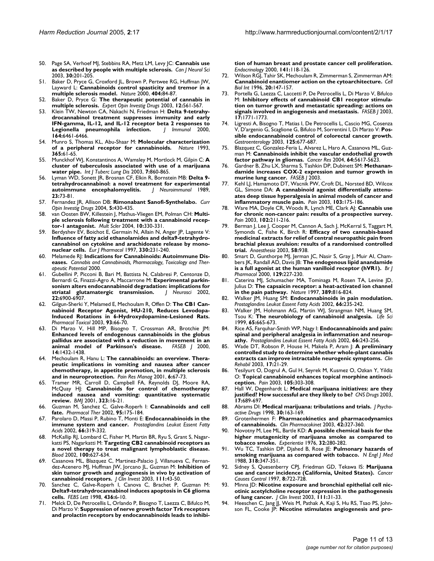- 50. Page SA, Verhoef MJ, Stebbins RA, Metz LM, Levy JC: **[Cannabis use](http://www.ncbi.nlm.nih.gov/entrez/query.fcgi?cmd=Retrieve&db=PubMed&dopt=Abstract&list_uids=12945941) [as described by people with multiple sclerosis.](http://www.ncbi.nlm.nih.gov/entrez/query.fcgi?cmd=Retrieve&db=PubMed&dopt=Abstract&list_uids=12945941)** *Can J Neurol Sci* 2003, **30:**201-205.
- Baker D, Pryce G, Croxford JL, Brown P, Pertwee RG, Huffman JW, Layward L: **[Cannabinoids control spasticity and tremor in a](http://www.ncbi.nlm.nih.gov/entrez/query.fcgi?cmd=Retrieve&db=PubMed&dopt=Abstract&list_uids=10716447) [multiple sclerosis model.](http://www.ncbi.nlm.nih.gov/entrez/query.fcgi?cmd=Retrieve&db=PubMed&dopt=Abstract&list_uids=10716447)** *Nature* 2000, **404:**84-87.
- 52. Baker D, Pryce G: **[The therapeutic potential of cannabis in](http://www.ncbi.nlm.nih.gov/entrez/query.fcgi?cmd=Retrieve&db=PubMed&dopt=Abstract&list_uids=12665412) [multiple sclerosis.](http://www.ncbi.nlm.nih.gov/entrez/query.fcgi?cmd=Retrieve&db=PubMed&dopt=Abstract&list_uids=12665412)** *Expert Opin Investig Drugs* 2003, **12:**561-567.
- 53. Klein TW, Newton CA, Nakachi N, Friedman H: **[Delta 9-tetrahy](http://www.ncbi.nlm.nih.gov/entrez/query.fcgi?cmd=Retrieve&db=PubMed&dopt=Abstract&list_uids=10843702)[drocannabinol treatment suppresses immunity and early](http://www.ncbi.nlm.nih.gov/entrez/query.fcgi?cmd=Retrieve&db=PubMed&dopt=Abstract&list_uids=10843702) IFN-gamma, IL-12, and IL-12 receptor beta 2 responses to [Legionella pneumophila infection.](http://www.ncbi.nlm.nih.gov/entrez/query.fcgi?cmd=Retrieve&db=PubMed&dopt=Abstract&list_uids=10843702)** *J Immunol* 2000, **164:**6461-6466.
- 54. Munro S, Thomas KL, Abu-Shaar M: **[Molecular characterization](http://www.ncbi.nlm.nih.gov/entrez/query.fcgi?cmd=Retrieve&db=PubMed&dopt=Abstract&list_uids=7689702) [of a peripheral receptor for cannabinoids.](http://www.ncbi.nlm.nih.gov/entrez/query.fcgi?cmd=Retrieve&db=PubMed&dopt=Abstract&list_uids=7689702)** *Nature* 1993, **365:**61-65.
- 55. Munckhof WJ, Konstantinos A, Wamsley M, Mortlock M, Gilpin C: **[A](http://www.ncbi.nlm.nih.gov/entrez/query.fcgi?cmd=Retrieve&db=PubMed&dopt=Abstract&list_uids=12971670) [cluster of tuberculosis associated with use of a marijuana](http://www.ncbi.nlm.nih.gov/entrez/query.fcgi?cmd=Retrieve&db=PubMed&dopt=Abstract&list_uids=12971670) [water pipe.](http://www.ncbi.nlm.nih.gov/entrez/query.fcgi?cmd=Retrieve&db=PubMed&dopt=Abstract&list_uids=12971670)** *Int J Tuberc Lung Dis* 2003, **7:**860-865.
- 56. Lyman WD, Sonett JR, Brosnan CF, Elkin R, Bornstein MB: **[Delta 9](http://www.ncbi.nlm.nih.gov/entrez/query.fcgi?cmd=Retrieve&db=PubMed&dopt=Abstract&list_uids=2542370) [tetrahydrocannabinol: a novel treatment for experimental](http://www.ncbi.nlm.nih.gov/entrez/query.fcgi?cmd=Retrieve&db=PubMed&dopt=Abstract&list_uids=2542370) [autoimmune encephalomyelitis.](http://www.ncbi.nlm.nih.gov/entrez/query.fcgi?cmd=Retrieve&db=PubMed&dopt=Abstract&list_uids=2542370)** *J Neuroimmunol* 1989, **23:**73-81.
- 57. Fernandez JR, Allison DB: **[Rimonabant Sanofi-Synthelabo.](http://www.ncbi.nlm.nih.gov/entrez/query.fcgi?cmd=Retrieve&db=PubMed&dopt=Abstract&list_uids=15134285)** *Curr Opin Investig Drugs* 2004, **5:**430-435.
- 58. van Oosten BW, Killestein J, Mathus-Vliegen EM, Polman CH: **[Multi](http://www.ncbi.nlm.nih.gov/entrez/query.fcgi?cmd=Retrieve&db=PubMed&dopt=Abstract&list_uids=15222701)[ple sclerosis following treatment with a cannabinoid recep](http://www.ncbi.nlm.nih.gov/entrez/query.fcgi?cmd=Retrieve&db=PubMed&dopt=Abstract&list_uids=15222701)[tor-1 antagonist.](http://www.ncbi.nlm.nih.gov/entrez/query.fcgi?cmd=Retrieve&db=PubMed&dopt=Abstract&list_uids=15222701)** *Mult Scler* 2004, **10:**330-331.
- 59. Berdyshev EV, Boichot E, Germain N, Allain N, Anger JP, Lagente V: **[Influence of fatty acid ethanolamides and delta9-tetrahydro](http://www.ncbi.nlm.nih.gov/entrez/query.fcgi?cmd=Retrieve&db=PubMed&dopt=Abstract&list_uids=9253958)cannabinol on cytokine and arachidonate release by mono[nuclear cells.](http://www.ncbi.nlm.nih.gov/entrez/query.fcgi?cmd=Retrieve&db=PubMed&dopt=Abstract&list_uids=9253958)** *Eur J Pharmacol* 1997, **330:**231-240.
- 60. Melamede RJ: **Indications for Cannabinoids: Autoimmune Diseases.** *Cannabis and Cannabinoids, Pharmacology, Toxicology and Therapeutic Potential* 2000.
- 61. Gubellini P, Picconi B, Bari M, Battista N, Calabresi P, Centonze D, Bernardi G, Finazzi-Agro A, Maccarrone M: **[Experimental parkin](http://www.ncbi.nlm.nih.gov/entrez/query.fcgi?cmd=Retrieve&db=PubMed&dopt=Abstract&list_uids=12177188)[sonism alters endocannabinoid degradation: implications for](http://www.ncbi.nlm.nih.gov/entrez/query.fcgi?cmd=Retrieve&db=PubMed&dopt=Abstract&list_uids=12177188) [striatal glutamatergic transmission.](http://www.ncbi.nlm.nih.gov/entrez/query.fcgi?cmd=Retrieve&db=PubMed&dopt=Abstract&list_uids=12177188)** *J Neurosci* 2002, **22:**6900-6907.
- 62. Gilgun-Sherki Y, Melamed E, Mechoulam R, Offen D: **[The CB1 Can](http://www.ncbi.nlm.nih.gov/entrez/query.fcgi?cmd=Retrieve&db=PubMed&dopt=Abstract&list_uids=12899667)[nabinoid Receptor Agonist, HU-210, Reduces Levodopa-](http://www.ncbi.nlm.nih.gov/entrez/query.fcgi?cmd=Retrieve&db=PubMed&dopt=Abstract&list_uids=12899667)Induced Rotations in 6-Hydroxydopamine-Lesioned Rats.** *Pharmacol Toxicol* 2003, **93:**66-70.
- 63. Di Marzo V, Hill MP, Bisogno T, Crossman AR, Brotchie JM: **[Enhanced levels of endogenous cannabinoids in the globus](http://www.ncbi.nlm.nih.gov/entrez/query.fcgi?cmd=Retrieve&db=PubMed&dopt=Abstract&list_uids=10877836) pallidus are associated with a reduction in movement in an** [animal model of Parkinson's disease.](http://www.ncbi.nlm.nih.gov/entrez/query.fcgi?cmd=Retrieve&db=PubMed&dopt=Abstract&list_uids=10877836) **14:**1432-1438.
- 64. Mechoulam R, Hanu L: **[The cannabinoids: an overview. Thera](http://www.ncbi.nlm.nih.gov/entrez/query.fcgi?cmd=Retrieve&db=PubMed&dopt=Abstract&list_uids=11854768)[peutic implications in vomiting and nausea after cancer](http://www.ncbi.nlm.nih.gov/entrez/query.fcgi?cmd=Retrieve&db=PubMed&dopt=Abstract&list_uids=11854768) chemotherapy, in appetite promotion, in multiple sclerosis [and in neuroprotection.](http://www.ncbi.nlm.nih.gov/entrez/query.fcgi?cmd=Retrieve&db=PubMed&dopt=Abstract&list_uids=11854768)** *Pain Res Manag* 2001, **6:**67-73.
- 65. Tramer MR, Carroll D, Campbell FA, Reynolds DJ, Moore RA, McQuay HJ: **[Cannabinoids for control of chemotherapy](http://www.ncbi.nlm.nih.gov/entrez/query.fcgi?cmd=Retrieve&db=PubMed&dopt=Abstract&list_uids=11440936) [induced nausea and vomiting: quantitative systematic](http://www.ncbi.nlm.nih.gov/entrez/query.fcgi?cmd=Retrieve&db=PubMed&dopt=Abstract&list_uids=11440936) [review.](http://www.ncbi.nlm.nih.gov/entrez/query.fcgi?cmd=Retrieve&db=PubMed&dopt=Abstract&list_uids=11440936)** *BMJ* 2001, **323:**16-21.
- 66. Guzman M, Sanchez C, Galve-Roperh I: **[Cannabinoids and cell](http://www.ncbi.nlm.nih.gov/entrez/query.fcgi?cmd=Retrieve&db=PubMed&dopt=Abstract&list_uids=12182964) [fate.](http://www.ncbi.nlm.nih.gov/entrez/query.fcgi?cmd=Retrieve&db=PubMed&dopt=Abstract&list_uids=12182964)** *Pharmacol Ther* 2002, **95:**175-184.
- 67. Parolaro D, Massi P, Rubino T, Monti E: **[Endocannabinoids in the](http://www.ncbi.nlm.nih.gov/entrez/query.fcgi?cmd=Retrieve&db=PubMed&dopt=Abstract&list_uids=12052046) [immune system and cancer.](http://www.ncbi.nlm.nih.gov/entrez/query.fcgi?cmd=Retrieve&db=PubMed&dopt=Abstract&list_uids=12052046)** *Prostaglandins Leukot Essent Fatty Acids* 2002, **66:**319-332.
- 68. McKallip RJ, Lombard C, Fisher M, Martin BR, Ryu S, Grant S, Nagarkatti PS, Nagarkatti M: **[Targeting CB2 cannabinoid receptors as](http://www.ncbi.nlm.nih.gov/entrez/query.fcgi?cmd=Retrieve&db=PubMed&dopt=Abstract&list_uids=12091357) [a novel therapy to treat malignant lymphoblastic disease.](http://www.ncbi.nlm.nih.gov/entrez/query.fcgi?cmd=Retrieve&db=PubMed&dopt=Abstract&list_uids=12091357)** *Blood* 2002, **100:**627-634.
- 69. Casanova ML, Blazquez C, Martinez-Palacio J, Villanueva C, Fernandez-Acenero MJ, Huffman JW, Jorcano JL, Guzman M: **[Inhibition of](http://www.ncbi.nlm.nih.gov/entrez/query.fcgi?cmd=Retrieve&db=PubMed&dopt=Abstract&list_uids=12511587) [skin tumor growth and angiogenesis in vivo by activation of](http://www.ncbi.nlm.nih.gov/entrez/query.fcgi?cmd=Retrieve&db=PubMed&dopt=Abstract&list_uids=12511587) [cannabinoid receptors.](http://www.ncbi.nlm.nih.gov/entrez/query.fcgi?cmd=Retrieve&db=PubMed&dopt=Abstract&list_uids=12511587)** *J Clin Invest* 2003, **111:**43-50.
- 70. Sanchez C, Galve-Roperh I, Canova C, Brachet P, Guzman M: **[Delta9-tetrahydrocannabinol induces apoptosis in C6 glioma](http://www.ncbi.nlm.nih.gov/entrez/query.fcgi?cmd=Retrieve&db=PubMed&dopt=Abstract&list_uids=9771884) [cells.](http://www.ncbi.nlm.nih.gov/entrez/query.fcgi?cmd=Retrieve&db=PubMed&dopt=Abstract&list_uids=9771884)** *FEBS Lett* 1998, **436:**6-10.
- 71. Melck D, De Petrocellis L, Orlando P, Bisogno T, Laezza C, Bifulco M, Di Marzo V: **[Suppression of nerve growth factor Trk receptors](http://www.ncbi.nlm.nih.gov/entrez/query.fcgi?cmd=Retrieve&db=PubMed&dopt=Abstract&list_uids=10614630) [and prolactin receptors by endocannabinoids leads to inhibi-](http://www.ncbi.nlm.nih.gov/entrez/query.fcgi?cmd=Retrieve&db=PubMed&dopt=Abstract&list_uids=10614630)**

**[tion of human breast and prostate cancer cell proliferation.](http://www.ncbi.nlm.nih.gov/entrez/query.fcgi?cmd=Retrieve&db=PubMed&dopt=Abstract&list_uids=10614630)** *Endocrinology* 2000, **141:**118-126.

- 72. Wilson RGJ, Tahir SK, Mechoulam R, Zimmerman S, Zimmerman AM: **[Cannabinoid enantiomer action on the cytoarchitecture.](http://www.ncbi.nlm.nih.gov/entrez/query.fcgi?cmd=Retrieve&db=PubMed&dopt=Abstract&list_uids=8935159)** *Cell Biol Int* 1996, **20:**147-157.
- 73. Portella G, Laezza C, Laccetti P, De Petrocellis L, Di Marzo V, Bifulco M: **[Inhibitory effects of cannabinoid CB1 receptor stimula](http://www.ncbi.nlm.nih.gov/entrez/query.fcgi?cmd=Retrieve&db=PubMed&dopt=Abstract&list_uids=12958205)[tion on tumor growth and metastatic spreading: actions on](http://www.ncbi.nlm.nih.gov/entrez/query.fcgi?cmd=Retrieve&db=PubMed&dopt=Abstract&list_uids=12958205) [signals involved in angiogenesis and metastasis.](http://www.ncbi.nlm.nih.gov/entrez/query.fcgi?cmd=Retrieve&db=PubMed&dopt=Abstract&list_uids=12958205)** *FASEB J* 2003, **17:**1771-1773.
- 74. Ligresti A, Bisogno T, Matias I, De Petrocellis L, Cascio MG, Cosenza V, D'argenio G, Scaglione G, Bifulco M, Sorrentini I, Di Marzo V: **[Pos](http://www.ncbi.nlm.nih.gov/entrez/query.fcgi?cmd=Retrieve&db=PubMed&dopt=Abstract&list_uids=12949714)[sible endocannabinoid control of colorectal cancer growth.](http://www.ncbi.nlm.nih.gov/entrez/query.fcgi?cmd=Retrieve&db=PubMed&dopt=Abstract&list_uids=12949714)** *Gastroenterology* 2003, **125:**677-687.
- 75. Blazquez C, Gonzalez-Feria L, Alvarez L, Haro A, Casanova ML, Guzman M: **[Cannabinoids inhibit the vascular endothelial growth](http://www.ncbi.nlm.nih.gov/entrez/query.fcgi?cmd=Retrieve&db=PubMed&dopt=Abstract&list_uids=15313899) [factor pathway in gliomas.](http://www.ncbi.nlm.nih.gov/entrez/query.fcgi?cmd=Retrieve&db=PubMed&dopt=Abstract&list_uids=15313899)** *Cancer Res* 2004, **64:**5617-5623.
- 76. Gardner B, Zhu LX, Sharma S, Tashkin DP, Dubinett SM: **Methanandamide increases COX-2 expression and tumor growth in murine lung cancer.** *FASEB J* 2003.
- 77. Kehl LJ, Hamamoto DT, Wacnik PW, Croft DL, Norsted BD, Wilcox GL, Simone DA: **[A cannabinoid agonist differentially attenu](http://www.ncbi.nlm.nih.gov/entrez/query.fcgi?cmd=Retrieve&db=PubMed&dopt=Abstract&list_uids=12749972)[ates deep tissue hyperalgesia in animal models of cancer and](http://www.ncbi.nlm.nih.gov/entrez/query.fcgi?cmd=Retrieve&db=PubMed&dopt=Abstract&list_uids=12749972) [inflammatory muscle pain.](http://www.ncbi.nlm.nih.gov/entrez/query.fcgi?cmd=Retrieve&db=PubMed&dopt=Abstract&list_uids=12749972)** *Pain* 2003, **103:**175-186.
- 78. Ware MA, Doyle CR, Woods R, Lynch ME, Clark AJ: **[Cannabis use](http://www.ncbi.nlm.nih.gov/entrez/query.fcgi?cmd=Retrieve&db=PubMed&dopt=Abstract&list_uids=12620613) [for chronic non-cancer pain: results of a prospective survey.](http://www.ncbi.nlm.nih.gov/entrez/query.fcgi?cmd=Retrieve&db=PubMed&dopt=Abstract&list_uids=12620613)** *Pain* 2003, **102:**211-216.
- 79. Berman J, Lee J, Cooper M, Cannon A, Sach J, McKerral S, Taggart M, Symonds C, Fishe K, Birch R: **Efficacy of two cannabis-based medicinal extracts for relief of central neuropathic pain from brachial plexus avulsion: results of a randomised controlled trial.** *Anaesthesia* 2003, **58:**938.
- 80. Smart D, Gunthorpe MJ, Jerman JC, Nasir S, Gray J, Muir AI, Chambers JK, Randall AD, Davis JB: **[The endogenous lipid anandamide](http://www.ncbi.nlm.nih.gov/entrez/query.fcgi?cmd=Retrieve&db=PubMed&dopt=Abstract&list_uids=10694225) [is a full agonist at the human vanilloid receptor \(hVR1\).](http://www.ncbi.nlm.nih.gov/entrez/query.fcgi?cmd=Retrieve&db=PubMed&dopt=Abstract&list_uids=10694225)** *Br J Pharmacol* 2000, **129:**227-230.
- 81. Caterina MJ, Schumacher MA, Tominaga M, Rosen TA, Levine JD, Julius D: **[The capsaicin receptor: a heat-activated ion channel](http://www.ncbi.nlm.nih.gov/entrez/query.fcgi?cmd=Retrieve&db=PubMed&dopt=Abstract&list_uids=9349813) [in the pain pathway.](http://www.ncbi.nlm.nih.gov/entrez/query.fcgi?cmd=Retrieve&db=PubMed&dopt=Abstract&list_uids=9349813)** *Nature* 1997, **389:**816-824.
- 82. Walker JM, Huang SM: **[Endocannabinoids in pain modulation.](http://www.ncbi.nlm.nih.gov/entrez/query.fcgi?cmd=Retrieve&db=PubMed&dopt=Abstract&list_uids=12052039)** *Prostaglandins Leukot Essent Fatty Acids* 2002, **66:**235-242.
- 83. Walker JM, Hohmann AG, Martin WJ, Strangman NM, Huang SM, Tsou K: **[The neurobiology of cannabinoid analgesia.](http://www.ncbi.nlm.nih.gov/entrez/query.fcgi?cmd=Retrieve&db=PubMed&dopt=Abstract&list_uids=10462067)** *Life Sci* 1999, **65:**665-673.
- 84. Rice AS, Farquhar-Smith WP, Nagy I: **[Endocannabinoids and pain:](http://www.ncbi.nlm.nih.gov/entrez/query.fcgi?cmd=Retrieve&db=PubMed&dopt=Abstract&list_uids=12052040) [spinal and peripheral analgesia in inflammation and neurop](http://www.ncbi.nlm.nih.gov/entrez/query.fcgi?cmd=Retrieve&db=PubMed&dopt=Abstract&list_uids=12052040)[athy.](http://www.ncbi.nlm.nih.gov/entrez/query.fcgi?cmd=Retrieve&db=PubMed&dopt=Abstract&list_uids=12052040)** *Prostaglandins Leukot Essent Fatty Acids* 2002, **66:**243-256.
- 85. Wade DT, Robson P, House H, Makela P, Aram J: **[A preliminary](http://www.ncbi.nlm.nih.gov/entrez/query.fcgi?cmd=Retrieve&db=PubMed&dopt=Abstract&list_uids=12617376) [controlled study to determine whether whole-plant cannabis](http://www.ncbi.nlm.nih.gov/entrez/query.fcgi?cmd=Retrieve&db=PubMed&dopt=Abstract&list_uids=12617376) [extracts can improve intractable neurogenic symptoms.](http://www.ncbi.nlm.nih.gov/entrez/query.fcgi?cmd=Retrieve&db=PubMed&dopt=Abstract&list_uids=12617376)** *Clin Rehabil* 2003, **17:**21-29.
- 86. Yesilyurt O, Dogrul A, Gul H, Seyrek M, Kusmez O, Ozkan Y, Yildiz O: **[Topical cannabinoid enhances topical morphine antinoci](http://www.ncbi.nlm.nih.gov/entrez/query.fcgi?cmd=Retrieve&db=PubMed&dopt=Abstract&list_uids=14499448)[ception.](http://www.ncbi.nlm.nih.gov/entrez/query.fcgi?cmd=Retrieve&db=PubMed&dopt=Abstract&list_uids=14499448)** *Pain* 2003, **105:**303-308.
- Hall W, Degenhardt L: [Medical marijuana initiatives: are they](http://www.ncbi.nlm.nih.gov/entrez/query.fcgi?cmd=Retrieve&db=PubMed&dopt=Abstract&list_uids=12873153) **[justified? How successful are they likely to be?](http://www.ncbi.nlm.nih.gov/entrez/query.fcgi?cmd=Retrieve&db=PubMed&dopt=Abstract&list_uids=12873153)** *CNS Drugs* 2003, **17:**689-697.
- 88. Abrams DI: **[Medical marijuana: tribulations and trials.](http://www.ncbi.nlm.nih.gov/entrez/query.fcgi?cmd=Retrieve&db=PubMed&dopt=Abstract&list_uids=9692378)** *J Psychoactive Drugs* 1998, **30:**163-169.
- 89. Grotenhermen F: **[Pharmacokinetics and pharmacodynamics](http://www.ncbi.nlm.nih.gov/entrez/query.fcgi?cmd=Retrieve&db=PubMed&dopt=Abstract&list_uids=12648025) [of cannabinoids.](http://www.ncbi.nlm.nih.gov/entrez/query.fcgi?cmd=Retrieve&db=PubMed&dopt=Abstract&list_uids=12648025)** *Clin Pharmacokinet* 2003, **42:**327-360.
- 90. Novotny M, Lee ML, Bartle KD: **[A possible chemical basis for the](http://www.ncbi.nlm.nih.gov/entrez/query.fcgi?cmd=Retrieve&db=PubMed&dopt=Abstract&list_uids=1253890) [higher mutagenicity of marijuana smoke as compared to](http://www.ncbi.nlm.nih.gov/entrez/query.fcgi?cmd=Retrieve&db=PubMed&dopt=Abstract&list_uids=1253890) [tobacco smoke.](http://www.ncbi.nlm.nih.gov/entrez/query.fcgi?cmd=Retrieve&db=PubMed&dopt=Abstract&list_uids=1253890)** *Experientia* 1976, **32:**280-282.
- 91. Wu TC, Tashkin DP, Djahed B, Rose JE: **[Pulmonary hazards of](http://www.ncbi.nlm.nih.gov/entrez/query.fcgi?cmd=Retrieve&db=PubMed&dopt=Abstract&list_uids=3340105) [smoking marijuana as compared with tobacco.](http://www.ncbi.nlm.nih.gov/entrez/query.fcgi?cmd=Retrieve&db=PubMed&dopt=Abstract&list_uids=3340105)** *N Engl J Med* 1988, **318:**347-351.
- 92. Sidney S, Quesenberry CPJ, Friedman GD, Tekawa IS: **[Marijuana](http://www.ncbi.nlm.nih.gov/entrez/query.fcgi?cmd=Retrieve&db=PubMed&dopt=Abstract&list_uids=9328194) [use and cancer incidence \(California, United States\).](http://www.ncbi.nlm.nih.gov/entrez/query.fcgi?cmd=Retrieve&db=PubMed&dopt=Abstract&list_uids=9328194)** *Cancer Causes Control* 1997, **8:**722-728.
- 93. Minna JD: **[Nicotine exposure and bronchial epithelial cell nic](http://www.ncbi.nlm.nih.gov/entrez/query.fcgi?cmd=Retrieve&db=PubMed&dopt=Abstract&list_uids=12511585)[otinic acetylcholine receptor expression in the pathogenesis](http://www.ncbi.nlm.nih.gov/entrez/query.fcgi?cmd=Retrieve&db=PubMed&dopt=Abstract&list_uids=12511585) [of lung cancer.](http://www.ncbi.nlm.nih.gov/entrez/query.fcgi?cmd=Retrieve&db=PubMed&dopt=Abstract&list_uids=12511585)** *J Clin Invest* 2003, **111:**31-33.
- 94. Heeschen C, Jang JJ, Weis M, Pathak A, Kaji S, Hu RS, Tsao PS, Johnson FL, Cooke JP: **[Nicotine stimulates angiogenesis and pro](http://www.ncbi.nlm.nih.gov/entrez/query.fcgi?cmd=Retrieve&db=PubMed&dopt=Abstract&list_uids=11433349)-**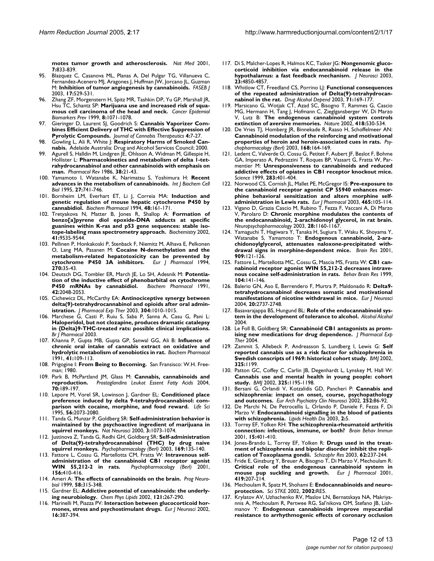**[motes tumor growth and atherosclerosis.](http://www.ncbi.nlm.nih.gov/entrez/query.fcgi?cmd=Retrieve&db=PubMed&dopt=Abstract&list_uids=11433349)** *Nat Med* 2001, **7:**833-839.

- 95. Blazquez C, Casanova ML, Planas A, Del Pulgar TG, Villanueva C, Fernandez-Acenero MJ, Aragones J, Huffman JW, Jorcano JL, Guzman M: **[Inhibition of tumor angiogenesis by cannabinoids.](http://www.ncbi.nlm.nih.gov/entrez/query.fcgi?cmd=Retrieve&db=PubMed&dopt=Abstract&list_uids=12514108)** *FASEB J* 2003, **17:**529-531.
- 96. Zhang ZF, Morgenstern H, Spitz MR, Tashkin DP, Yu GP, Marshall JR, Hsu TC, Schantz SP: **[Marijuana use and increased risk of squa](http://www.ncbi.nlm.nih.gov/entrez/query.fcgi?cmd=Retrieve&db=PubMed&dopt=Abstract&list_uids=10613339)[mous cell carcinoma of the head and neck.](http://www.ncbi.nlm.nih.gov/entrez/query.fcgi?cmd=Retrieve&db=PubMed&dopt=Abstract&list_uids=10613339)** *Cancer Epidemiol Biomarkers Prev* 1999, **8:**1071-1078.
- 97. Gieringer D, Laurent SJ, Goodrich S: **Cannabis Vaporizer Combines Efficient Delivery of THC with Effective Suppression of Pyrolytic Compounds.** *Journal of Cannabis Therapeutics* **4:**7-27.
- 98. Gowling L, Ali R, White J: [Respiratory Harms of Smoked Can](http://www.ncbi.nlm.nih.gov/entrez/query.fcgi?cmd=Retrieve&db=PubMed&dopt=Abstract&list_uids=11819707)**[nabis.](http://www.ncbi.nlm.nih.gov/entrez/query.fcgi?cmd=Retrieve&db=PubMed&dopt=Abstract&list_uids=11819707)** Adelaide Australia: Drug and Alcohol Services Council; 2000.
- 99. Agurell S, Halldin M, Lindgren JE, Ohlsson A, Widman M, Gillespie H, Hollister L: **[Pharmacokinetics and metabolism of delta 1-tet](http://www.ncbi.nlm.nih.gov/entrez/query.fcgi?cmd=Retrieve&db=PubMed&dopt=Abstract&list_uids=3012605)[rahydrocannabinol and other cannabinoids with emphasis on](http://www.ncbi.nlm.nih.gov/entrez/query.fcgi?cmd=Retrieve&db=PubMed&dopt=Abstract&list_uids=3012605) [man.](http://www.ncbi.nlm.nih.gov/entrez/query.fcgi?cmd=Retrieve&db=PubMed&dopt=Abstract&list_uids=3012605)** *Pharmacol Rev* 1986, **38:**21-43.
- 100. Yamamoto I, Watanabe K, Narimatsu S, Yoshimura H: **[Recent](http://www.ncbi.nlm.nih.gov/entrez/query.fcgi?cmd=Retrieve&db=PubMed&dopt=Abstract&list_uids=7584607) [advances in the metabolism of cannabinoids.](http://www.ncbi.nlm.nih.gov/entrez/query.fcgi?cmd=Retrieve&db=PubMed&dopt=Abstract&list_uids=7584607)** *Int J Biochem Cell Biol* 1995, **27:**741-746.
- 101. Bornheim LM, Everhart ET, Li J, Correia MA: **[Induction and](http://www.ncbi.nlm.nih.gov/entrez/query.fcgi?cmd=Retrieve&db=PubMed&dopt=Abstract&list_uids=8043019) [genetic regulation of mouse hepatic cytochrome P450 by](http://www.ncbi.nlm.nih.gov/entrez/query.fcgi?cmd=Retrieve&db=PubMed&dopt=Abstract&list_uids=8043019) [cannabidiol.](http://www.ncbi.nlm.nih.gov/entrez/query.fcgi?cmd=Retrieve&db=PubMed&dopt=Abstract&list_uids=8043019)** *Biochem Pharmacol* 1994, **48:**161-171.
- 102. Tretyakova N, Matter B, Jones R, Shallop A: **[Formation of](http://www.ncbi.nlm.nih.gov/entrez/query.fcgi?cmd=Retrieve&db=PubMed&dopt=Abstract&list_uids=12135376) [benzo\[a\]pyrene diol epoxide-DNA adducts at specific](http://www.ncbi.nlm.nih.gov/entrez/query.fcgi?cmd=Retrieve&db=PubMed&dopt=Abstract&list_uids=12135376) guanines within K-ras and p53 gene sequences: stable iso[tope-labeling mass spectrometry approach.](http://www.ncbi.nlm.nih.gov/entrez/query.fcgi?cmd=Retrieve&db=PubMed&dopt=Abstract&list_uids=12135376)** *Biochemistry* 2002, **41:**9535-9544.
- 103. Pellinen P, Honkakoski P, Stenback F, Niemitz M, Alhava E, Pelkonen O, Lang MA, Pasanen M: **[Cocaine N-demethylation and the](http://www.ncbi.nlm.nih.gov/entrez/query.fcgi?cmd=Retrieve&db=PubMed&dopt=Abstract&list_uids=8157080) [metabolism-related hepatotoxicity can be prevented by](http://www.ncbi.nlm.nih.gov/entrez/query.fcgi?cmd=Retrieve&db=PubMed&dopt=Abstract&list_uids=8157080) [cytochrome P450 3A inhibitors.](http://www.ncbi.nlm.nih.gov/entrez/query.fcgi?cmd=Retrieve&db=PubMed&dopt=Abstract&list_uids=8157080)** *Eur J Pharmacol* 1994, **270:**35-43.
- 104. Deutsch DG, Tombler ER, March JE, Lo SH, Adesnik M: **[Potentia](http://www.ncbi.nlm.nih.gov/entrez/query.fcgi?cmd=Retrieve&db=PubMed&dopt=Abstract&list_uids=1741782)[tion of the inductive effect of phenobarbital on cytochrome](http://www.ncbi.nlm.nih.gov/entrez/query.fcgi?cmd=Retrieve&db=PubMed&dopt=Abstract&list_uids=1741782) [P450 mRNAs by cannabidiol.](http://www.ncbi.nlm.nih.gov/entrez/query.fcgi?cmd=Retrieve&db=PubMed&dopt=Abstract&list_uids=1741782)** *Biochem Pharmacol* 1991, **42:**2048-2053.
- 105. Cichewicz DL, McCarthy EA: **[Antinociceptive synergy between](http://www.ncbi.nlm.nih.gov/entrez/query.fcgi?cmd=Retrieve&db=PubMed&dopt=Abstract&list_uids=12604676) [delta\(9\)-tetrahydrocannabinol and opioids after oral admin](http://www.ncbi.nlm.nih.gov/entrez/query.fcgi?cmd=Retrieve&db=PubMed&dopt=Abstract&list_uids=12604676)[istration.](http://www.ncbi.nlm.nih.gov/entrez/query.fcgi?cmd=Retrieve&db=PubMed&dopt=Abstract&list_uids=12604676)** *J Pharmacol Exp Ther* 2003, **304:**1010-1015.
- 106. Marchese G, Casti P, Ruiu S, Saba P, Sanna A, Casu G, Pani L: **Haloperidol, but not clozapine, produces dramatic catalepsy in {Delta}9-THC-treated rats: possible clinical implications.** *Br J Pharmacol* 2003.
- 107. Khanna P, Gupta MB, Gupta GP, Sanwal GG, Ali B: **[Influence of](http://www.ncbi.nlm.nih.gov/entrez/query.fcgi?cmd=Retrieve&db=PubMed&dopt=Abstract&list_uids=1986734) [chronic oral intake of cannabis extract on oxidative and](http://www.ncbi.nlm.nih.gov/entrez/query.fcgi?cmd=Retrieve&db=PubMed&dopt=Abstract&list_uids=1986734) [hydrolytic metabolism of xenobiotics in rat.](http://www.ncbi.nlm.nih.gov/entrez/query.fcgi?cmd=Retrieve&db=PubMed&dopt=Abstract&list_uids=1986734)** *Biochem Pharmacol* 1991, **41:**109-113.
- 108. Prigogine I: **From Being to Becoming.** San Fransisco: W.H. Freeman; 1980.
- 109. Park B, McPartland JM, Glass M: **[Cannabis, cannabinoids and](http://www.ncbi.nlm.nih.gov/entrez/query.fcgi?cmd=Retrieve&db=PubMed&dopt=Abstract&list_uids=14683692) [reproduction.](http://www.ncbi.nlm.nih.gov/entrez/query.fcgi?cmd=Retrieve&db=PubMed&dopt=Abstract&list_uids=14683692)** *Prostaglandins Leukot Essent Fatty Acids* 2004, **70:**189-197.
- 110. Lepore M, Vorel SR, Lowinson J, Gardner EL: **[Conditioned place](http://www.ncbi.nlm.nih.gov/entrez/query.fcgi?cmd=Retrieve&db=PubMed&dopt=Abstract&list_uids=7776834) [preference induced by delta 9-tetrahydrocannabinol: com](http://www.ncbi.nlm.nih.gov/entrez/query.fcgi?cmd=Retrieve&db=PubMed&dopt=Abstract&list_uids=7776834)[parison with cocaine, morphine, and food reward.](http://www.ncbi.nlm.nih.gov/entrez/query.fcgi?cmd=Retrieve&db=PubMed&dopt=Abstract&list_uids=7776834)** *Life Sci* 1995, **56:**2073-2080.
- 111. Tanda G, Munzar P, Goldberg SR: **[Self-administration behavior is](http://www.ncbi.nlm.nih.gov/entrez/query.fcgi?cmd=Retrieve&db=PubMed&dopt=Abstract&list_uids=11036260) [maintained by the psychoactive ingredient of marijuana in](http://www.ncbi.nlm.nih.gov/entrez/query.fcgi?cmd=Retrieve&db=PubMed&dopt=Abstract&list_uids=11036260) [squirrel monkeys.](http://www.ncbi.nlm.nih.gov/entrez/query.fcgi?cmd=Retrieve&db=PubMed&dopt=Abstract&list_uids=11036260)** *Nat Neurosci* 2000, **3:**1073-1074.
- 112. Justinova Z, Tanda G, Redhi GH, Goldberg SR: **[Self-administration](http://www.ncbi.nlm.nih.gov/entrez/query.fcgi?cmd=Retrieve&db=PubMed&dopt=Abstract&list_uids=12827345) [of Delta\(9\)-tetrahydrocannabinol \(THC\) by drug naive](http://www.ncbi.nlm.nih.gov/entrez/query.fcgi?cmd=Retrieve&db=PubMed&dopt=Abstract&list_uids=12827345) [squirrel monkeys.](http://www.ncbi.nlm.nih.gov/entrez/query.fcgi?cmd=Retrieve&db=PubMed&dopt=Abstract&list_uids=12827345)** *Psychopharmacology (Berl)* 2003, **169:**135-140.
- 113. Fattore L, Cossu G, Martellotta CM, Fratta W: **[Intravenous self](http://www.ncbi.nlm.nih.gov/entrez/query.fcgi?cmd=Retrieve&db=PubMed&dopt=Abstract&list_uids=11498718)[administration of the cannabinoid CB1 receptor agonist](http://www.ncbi.nlm.nih.gov/entrez/query.fcgi?cmd=Retrieve&db=PubMed&dopt=Abstract&list_uids=11498718) [WIN 55,212-2 in rats.](http://www.ncbi.nlm.nih.gov/entrez/query.fcgi?cmd=Retrieve&db=PubMed&dopt=Abstract&list_uids=11498718)** *Psychopharmacology (Berl)* 2001, **156:**410-416.
- 114. Ameri A: **[The effects of cannabinoids on the brain.](http://www.ncbi.nlm.nih.gov/entrez/query.fcgi?cmd=Retrieve&db=PubMed&dopt=Abstract&list_uids=10368032)** *Prog Neurobiol* 1999, **58:**315-348.
- 115. Gardner EL: **[Addictive potential of cannabinoids: the underly](http://www.ncbi.nlm.nih.gov/entrez/query.fcgi?cmd=Retrieve&db=PubMed&dopt=Abstract&list_uids=12505706)[ing neurobiology.](http://www.ncbi.nlm.nih.gov/entrez/query.fcgi?cmd=Retrieve&db=PubMed&dopt=Abstract&list_uids=12505706)** *Chem Phys Lipids* 2002, **121:**267-290.
- 116. Marinelli M, Piazza PV: **[Interaction between glucocorticoid hor](http://www.ncbi.nlm.nih.gov/entrez/query.fcgi?cmd=Retrieve&db=PubMed&dopt=Abstract&list_uids=12193179)[mones, stress and psychostimulant drugs.](http://www.ncbi.nlm.nih.gov/entrez/query.fcgi?cmd=Retrieve&db=PubMed&dopt=Abstract&list_uids=12193179)** *Eur J Neurosci* 2002, **16:**387-394.
- 117. Di S, Malcher-Lopes R, Halmos KC, Tasker JG: **[Nongenomic gluco](http://www.ncbi.nlm.nih.gov/entrez/query.fcgi?cmd=Retrieve&db=PubMed&dopt=Abstract&list_uids=12832507)[corticoid inhibition via endocannabinoid release in the](http://www.ncbi.nlm.nih.gov/entrez/query.fcgi?cmd=Retrieve&db=PubMed&dopt=Abstract&list_uids=12832507) [hypothalamus: a fast feedback mechanism.](http://www.ncbi.nlm.nih.gov/entrez/query.fcgi?cmd=Retrieve&db=PubMed&dopt=Abstract&list_uids=12832507)** *J Neurosci* 2003, **23:**4850-4857.
- 118. Whitlow CT, Freedland CS, Porrino LJ: **[Functional consequences](http://www.ncbi.nlm.nih.gov/entrez/query.fcgi?cmd=Retrieve&db=PubMed&dopt=Abstract&list_uids=12927655) [of the repeated administration of Delta\(9\)-tetrahydrocan](http://www.ncbi.nlm.nih.gov/entrez/query.fcgi?cmd=Retrieve&db=PubMed&dopt=Abstract&list_uids=12927655)[nabinol in the rat.](http://www.ncbi.nlm.nih.gov/entrez/query.fcgi?cmd=Retrieve&db=PubMed&dopt=Abstract&list_uids=12927655)** *Drug Alcohol Depend* 2003, **71:**169-177.
- 119. Marsicano G, Wotjak CT, Azad SC, Bisogno T, Rammes G, Cascio MG, Hermann H, Tang J, Hofmann C, Zieglgansberger W, Di Marzo V, Lutz B: **[The endogenous cannabinoid system controls](http://www.ncbi.nlm.nih.gov/entrez/query.fcgi?cmd=Retrieve&db=PubMed&dopt=Abstract&list_uids=12152079) [extinction of aversive memories.](http://www.ncbi.nlm.nih.gov/entrez/query.fcgi?cmd=Retrieve&db=PubMed&dopt=Abstract&list_uids=12152079)** *Nature* 2002, **418:**530-534.
- 120. De Vries TJ, Homberg JR, Binnekade R, Raaso H, Schoffelmeer AN: **[Cannabinoid modulation of the reinforcing and motivational](http://www.ncbi.nlm.nih.gov/entrez/query.fcgi?cmd=Retrieve&db=PubMed&dopt=Abstract&list_uids=12669182) [properties of heroin and heroin-associated cues in rats.](http://www.ncbi.nlm.nih.gov/entrez/query.fcgi?cmd=Retrieve&db=PubMed&dopt=Abstract&list_uids=12669182)** *Psychopharmacology (Berl)* 2003, **168:**164-169.
- 121. Ledent C, Valverde O, Cossu G, Petitet F, Aubert JF, Beslot F, Bohme GA, Imperato A, Pedrazzini T, Roques BP, Vassart G, Fratta W, Parmentier M: **[Unresponsiveness to cannabinoids and reduced](http://www.ncbi.nlm.nih.gov/entrez/query.fcgi?cmd=Retrieve&db=PubMed&dopt=Abstract&list_uids=9888857) [addictive effects of opiates in CB1 receptor knockout mice.](http://www.ncbi.nlm.nih.gov/entrez/query.fcgi?cmd=Retrieve&db=PubMed&dopt=Abstract&list_uids=9888857)** *Science* 1999, **283:**401-404.
- 122. Norwood CS, Cornish JL, Mallet PE, McGregor IS: **[Pre-exposure to](http://www.ncbi.nlm.nih.gov/entrez/query.fcgi?cmd=Retrieve&db=PubMed&dopt=Abstract&list_uids=12650839) [the cannabinoid receptor agonist CP 55940 enhances mor](http://www.ncbi.nlm.nih.gov/entrez/query.fcgi?cmd=Retrieve&db=PubMed&dopt=Abstract&list_uids=12650839)phine behavioral sensitization and alters morphine self[administration in Lewis rats.](http://www.ncbi.nlm.nih.gov/entrez/query.fcgi?cmd=Retrieve&db=PubMed&dopt=Abstract&list_uids=12650839)** *Eur J Pharmacol* 2003, **465:**105-114.
- 123. Vigano D, Grazia Cascio M, Rubino T, Fezza F, Vaccani A, Di Marzo V, Parolaro D: **[Chronic morphine modulates the contents of](http://www.ncbi.nlm.nih.gov/entrez/query.fcgi?cmd=Retrieve&db=PubMed&dopt=Abstract&list_uids=12637958) [the endocannabinoid, 2-arachidonoyl glycerol, in rat brain.](http://www.ncbi.nlm.nih.gov/entrez/query.fcgi?cmd=Retrieve&db=PubMed&dopt=Abstract&list_uids=12637958)** *Neuropsychopharmacology* 2003, **28:**1160-1167.
- 124. Yamaguchi T, Hagiwara Y, Tanaka H, Sugiura T, Waku K, Shoyama Y, Watanabe S, Yamamoto T: **[Endogenous cannabinoid, 2-ara](http://www.ncbi.nlm.nih.gov/entrez/query.fcgi?cmd=Retrieve&db=PubMed&dopt=Abstract&list_uids=11478928)[chidonoylglycerol, attenuates naloxone-precipitated with](http://www.ncbi.nlm.nih.gov/entrez/query.fcgi?cmd=Retrieve&db=PubMed&dopt=Abstract&list_uids=11478928)[drawal signs in morphine-dependent mice.](http://www.ncbi.nlm.nih.gov/entrez/query.fcgi?cmd=Retrieve&db=PubMed&dopt=Abstract&list_uids=11478928)** *Brain Res* 2001, **909:**121-126.
- 125. Fattore L, Martellotta MC, Cossu G, Mascia MS, Fratta W: **[CB1 can](http://www.ncbi.nlm.nih.gov/entrez/query.fcgi?cmd=Retrieve&db=PubMed&dopt=Abstract&list_uids=11125733)[nabinoid receptor agonist WIN 55,212-2 decreases intrave](http://www.ncbi.nlm.nih.gov/entrez/query.fcgi?cmd=Retrieve&db=PubMed&dopt=Abstract&list_uids=11125733)[nous cocaine self-administration in rats.](http://www.ncbi.nlm.nih.gov/entrez/query.fcgi?cmd=Retrieve&db=PubMed&dopt=Abstract&list_uids=11125733)** *Behav Brain Res* 1999, **104:**141-146.
- 126. Balerio GN, Aso E, Berrendero F, Murtra P, Maldonado R: **[Delta9](http://www.ncbi.nlm.nih.gov/entrez/query.fcgi?cmd=Retrieve&db=PubMed&dopt=Abstract&list_uids=15548217) [tetrahydrocannabinol decreases somatic and motivational](http://www.ncbi.nlm.nih.gov/entrez/query.fcgi?cmd=Retrieve&db=PubMed&dopt=Abstract&list_uids=15548217) [manifestations of nicotine withdrawal in mice.](http://www.ncbi.nlm.nih.gov/entrez/query.fcgi?cmd=Retrieve&db=PubMed&dopt=Abstract&list_uids=15548217)** *Eur J Neurosci* 2004, **20:**2737-2748.
- 127. Basavarajappa BS, Hungund BL: **[Role of the endocannabinoid sys](http://www.ncbi.nlm.nih.gov/entrez/query.fcgi?cmd=Retrieve&db=PubMed&dopt=Abstract&list_uids=15550443)[tem in the development of tolerance to alcohol.](http://www.ncbi.nlm.nih.gov/entrez/query.fcgi?cmd=Retrieve&db=PubMed&dopt=Abstract&list_uids=15550443)** *Alcohol Alcohol* 2004.
- 128. Le Foll B, Goldberg SR: **[Cannabinoid CB1 antagonists as prom](http://www.ncbi.nlm.nih.gov/entrez/query.fcgi?cmd=Retrieve&db=PubMed&dopt=Abstract&list_uids=15525797)[ising new medications for drug dependence.](http://www.ncbi.nlm.nih.gov/entrez/query.fcgi?cmd=Retrieve&db=PubMed&dopt=Abstract&list_uids=15525797)** *J Pharmacol Exp Ther* 2004.
- 129. Zammit S, Allebeck P, Andreasson S, Lundberg I, Lewis G: **[Self](http://www.ncbi.nlm.nih.gov/entrez/query.fcgi?cmd=Retrieve&db=PubMed&dopt=Abstract&list_uids=12446534) [reported cannabis use as a risk factor for schizophrenia in](http://www.ncbi.nlm.nih.gov/entrez/query.fcgi?cmd=Retrieve&db=PubMed&dopt=Abstract&list_uids=12446534) [Swedish conscripts of 1969: historical cohort study.](http://www.ncbi.nlm.nih.gov/entrez/query.fcgi?cmd=Retrieve&db=PubMed&dopt=Abstract&list_uids=12446534)** *BMJ* 2002, **325:**1199.
- 130. Patton GC, Coffey C, Carlin JB, Degenhardt L, Lynskey M, Hall W: **[Cannabis use and mental health in young people: cohort](http://www.ncbi.nlm.nih.gov/entrez/query.fcgi?cmd=Retrieve&db=PubMed&dopt=Abstract&list_uids=12446533) [study.](http://www.ncbi.nlm.nih.gov/entrez/query.fcgi?cmd=Retrieve&db=PubMed&dopt=Abstract&list_uids=12446533)** *BMJ* 2002, **325:**1195-1198.
- 131. Bersani G, Orlandi V, Kotzalidis GD, Pancheri P: **[Cannabis and](http://www.ncbi.nlm.nih.gov/entrez/query.fcgi?cmd=Retrieve&db=PubMed&dopt=Abstract&list_uids=12111342) [schizophrenia: impact on onset, course, psychopathology](http://www.ncbi.nlm.nih.gov/entrez/query.fcgi?cmd=Retrieve&db=PubMed&dopt=Abstract&list_uids=12111342) [and outcomes.](http://www.ncbi.nlm.nih.gov/entrez/query.fcgi?cmd=Retrieve&db=PubMed&dopt=Abstract&list_uids=12111342)** *Eur Arch Psychiatry Clin Neurosci* 2002, **252:**86-92.
- 132. De Marchi N, De Petrocellis L, Orlando P, Daniele F, Fezza F, Di Marzo V: **[Endocannabinoid signalling in the blood of patients](http://www.ncbi.nlm.nih.gov/entrez/query.fcgi?cmd=Retrieve&db=PubMed&dopt=Abstract&list_uids=12969514) [with schizophrenia.](http://www.ncbi.nlm.nih.gov/entrez/query.fcgi?cmd=Retrieve&db=PubMed&dopt=Abstract&list_uids=12969514)** *Lipids Health Dis* 2003, **2:**5.
- 133. Torrey EF, Yolken RH: **[The schizophrenia-rheumatoid arthritis](http://www.ncbi.nlm.nih.gov/entrez/query.fcgi?cmd=Retrieve&db=PubMed&dopt=Abstract&list_uids=11782106) [connection: infectious, immune, or both?](http://www.ncbi.nlm.nih.gov/entrez/query.fcgi?cmd=Retrieve&db=PubMed&dopt=Abstract&list_uids=11782106)** *Brain Behav Immun* 2001, **15:**401-410.
- 134. Jones-Brando L, Torrey EF, Yolken R: **[Drugs used in the treat](http://www.ncbi.nlm.nih.gov/entrez/query.fcgi?cmd=Retrieve&db=PubMed&dopt=Abstract&list_uids=12837520)[ment of schizophrenia and bipolar disorder inhibit the repli](http://www.ncbi.nlm.nih.gov/entrez/query.fcgi?cmd=Retrieve&db=PubMed&dopt=Abstract&list_uids=12837520)[cation of Toxoplasma gondii.](http://www.ncbi.nlm.nih.gov/entrez/query.fcgi?cmd=Retrieve&db=PubMed&dopt=Abstract&list_uids=12837520)** *Schizophr Res* 2003, **62:**237-244.
- 135. Fride E, Ginzburg Y, Breuer A, Bisogno T, Di Marzo V, Mechoulam R: **[Critical role of the endogenous cannabinoid system in](http://www.ncbi.nlm.nih.gov/entrez/query.fcgi?cmd=Retrieve&db=PubMed&dopt=Abstract&list_uids=11426843) [mouse pup suckling and growth.](http://www.ncbi.nlm.nih.gov/entrez/query.fcgi?cmd=Retrieve&db=PubMed&dopt=Abstract&list_uids=11426843)** *Eur J Pharmacol* 2001, **419:**207-214.
- 136. Mechoulam R, Spatz M, Shohami E: **[Endocannabinoids and neuro](http://www.ncbi.nlm.nih.gov/entrez/query.fcgi?cmd=Retrieve&db=PubMed&dopt=Abstract&list_uids=11972360)[protection.](http://www.ncbi.nlm.nih.gov/entrez/query.fcgi?cmd=Retrieve&db=PubMed&dopt=Abstract&list_uids=11972360)** *Sci STKE* 2002, **2002:**RE5.
- 137. Krylatov AV, Uzhachenko RV, Maslov LN, Bernatskaya NA, Makriyannis A, Mechoulam R, Pertwee RG, Sal'nikova OM, Stefano JB, Lishmanov Y: **[Endogenous cannabinoids improve myocardial](http://www.ncbi.nlm.nih.gov/entrez/query.fcgi?cmd=Retrieve&db=PubMed&dopt=Abstract&list_uids=12428277) [resistance to arrhythmogenic effects of coronary occlusion](http://www.ncbi.nlm.nih.gov/entrez/query.fcgi?cmd=Retrieve&db=PubMed&dopt=Abstract&list_uids=12428277)**